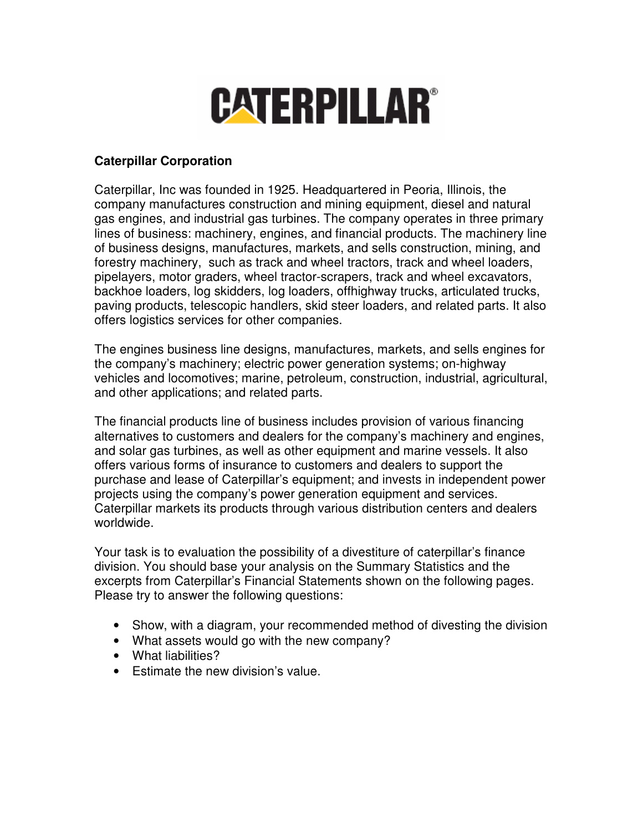# **CATERPILLAR®**

## **Caterpillar Corporation**

Caterpillar, Inc was founded in 1925. Headquartered in Peoria, Illinois, the company manufactures construction and mining equipment, diesel and natural gas engines, and industrial gas turbines. The company operates in three primary lines of business: machinery, engines, and financial products. The machinery line of business designs, manufactures, markets, and sells construction, mining, and forestry machinery, such as track and wheel tractors, track and wheel loaders, pipelayers, motor graders, wheel tractor-scrapers, track and wheel excavators, backhoe loaders, log skidders, log loaders, offhighway trucks, articulated trucks, paving products, telescopic handlers, skid steer loaders, and related parts. It also offers logistics services for other companies.

The engines business line designs, manufactures, markets, and sells engines for the company's machinery; electric power generation systems; on-highway vehicles and locomotives; marine, petroleum, construction, industrial, agricultural, and other applications; and related parts.

The financial products line of business includes provision of various financing alternatives to customers and dealers for the company's machinery and engines, and solar gas turbines, as well as other equipment and marine vessels. It also offers various forms of insurance to customers and dealers to support the purchase and lease of Caterpillar's equipment; and invests in independent power projects using the company's power generation equipment and services. Caterpillar markets its products through various distribution centers and dealers worldwide.

Your task is to evaluation the possibility of a divestiture of caterpillar's finance division. You should base your analysis on the Summary Statistics and the excerpts from Caterpillar's Financial Statements shown on the following pages. Please try to answer the following questions:

- Show, with a diagram, your recommended method of divesting the division
- What assets would go with the new company?
- What liabilities?
- Estimate the new division's value.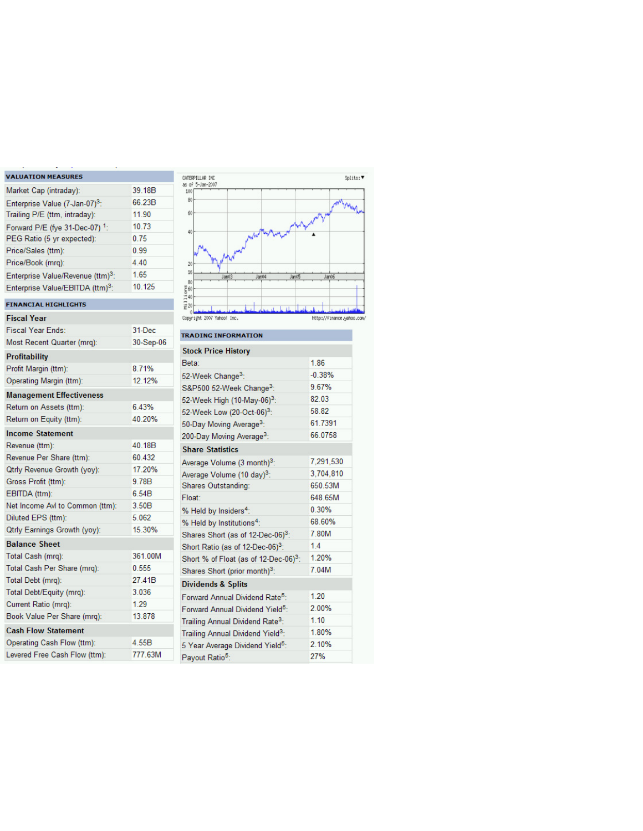#### **VALUATION MEASURES**

| Market Cap (intraday):                        | 39.18B |
|-----------------------------------------------|--------|
| Enterprise Value (7-Jan-07) <sup>3</sup> :    | 66.23B |
| Trailing P/E (ttm, intraday):                 | 11.90  |
| Forward P/E (fye 31-Dec-07) <sup>1</sup> :    | 10.73  |
| PEG Ratio (5 yr expected):                    | 0.75   |
| Price/Sales (ttm):                            | 0.99   |
| Price/Book (mrg):                             | 4.40   |
| Enterprise Value/Revenue (ttm) <sup>3</sup> : | 1.65   |
| Enterprise Value/EBITDA (ttm) <sup>3</sup> :  | 10.125 |

#### **FINANCIAL HIGHLIGHTS**

| Fiscal Year                         |           |
|-------------------------------------|-----------|
| <b>Fiscal Year Ends:</b>            | 31-Dec    |
| Most Recent Quarter (mrg):          | 30-Sep-06 |
| <b>Profitability</b>                |           |
| Profit Margin (ttm):                | 8.71%     |
| Operating Margin (ttm):             | 12.12%    |
| <b>Management Effectiveness</b>     |           |
| Return on Assets (ttm):             | 6.43%     |
| Return on Equity (ttm):             | 40 20%    |
| <b>Income Statement</b>             |           |
| Revenue (ttm):                      | 40.18B    |
| Revenue Per Share (ttm):            | 60.432    |
| <b>Qtrly Revenue Growth (yoy):</b>  | 17.20%    |
| Gross Profit (ttm):                 | 9.78B     |
| EBITDA (ttm):                       | 6.54B     |
| Net Income Avi to Common (ttm):     | 3.50B     |
| Diluted EPS (ttm):                  | 5.062     |
| <b>Qtrly Earnings Growth (yoy):</b> | 15.30%    |
| <b>Balance Sheet</b>                |           |
| Total Cash (mrq):                   | 361.00M   |
| Total Cash Per Share (mrg):         | 0.555     |
| Total Debt (mrg):                   | 27.41B    |
| Total Debt/Equity (mrq):            | 3.036     |
| Current Ratio (mrq):                | 1.29      |
| Book Value Per Share (mrg):         | 13.878    |
| <b>Cash Flow Statement</b>          |           |
| Operating Cash Flow (ttm):          | 4.55B     |
| Levered Free Cash Flow (ttm):       | 777.63M   |



| <b>Stock Price History</b>                        |           |
|---------------------------------------------------|-----------|
| Beta:                                             | 186       |
| 52-Week Change <sup>3</sup> :                     | $-0.38%$  |
| S&P500 52-Week Change <sup>3</sup> :              | 9.67%     |
| 52-Week High (10-May-06) <sup>3</sup> :           | 82.03     |
| 52-Week Low (20-Oct-06) <sup>3</sup> :            | 58.82     |
| 50-Day Moving Average <sup>3</sup> :              | 61.7391   |
| 200-Day Moving Average <sup>3</sup> :             | 66 0758   |
| <b>Share Statistics</b>                           |           |
| Average Volume (3 month) <sup>3</sup> :           | 7,291,530 |
| Average Volume (10 day) <sup>3</sup> :            | 3.704.810 |
| Shares Outstanding:                               | 650 53M   |
| Float:                                            | 648 65M   |
| % Held by Insiders <sup>4</sup> :                 | 0.30%     |
| % Held by Institutions <sup>4</sup> :             | 68.60%    |
| Shares Short (as of 12-Dec-06) <sup>3</sup> :     | 7.80M     |
| Short Ratio (as of 12-Dec-06) <sup>3</sup> :      | 1.4       |
| Short % of Float (as of 12-Dec-06) <sup>3</sup> : | 1 20%     |
| Shares Short (prior month) <sup>3</sup> :         | 7.04M     |
| <b>Dividends &amp; Splits</b>                     |           |
| Forward Annual Dividend Rate <sup>5</sup> :       | 1.20      |
| Forward Annual Dividend Yield <sup>5</sup> :      | 2.00%     |
| Trailing Annual Dividend Rate <sup>3</sup> :      | 1.10      |
| Trailing Annual Dividend Yield <sup>3</sup> :     | 1.80%     |
| 5 Year Average Dividend Yield <sup>5</sup> :      | 2 10%     |
| Payout Ratio <sup>5</sup> :                       | 27%       |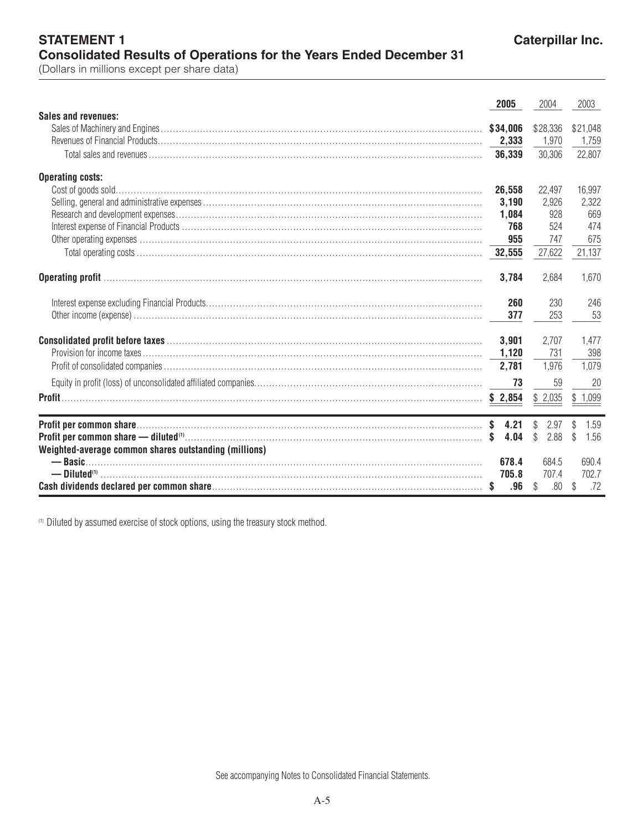**STATEMENT 1** 

|                                                                                                                                                                                                                                                                                                                                              | 2005     | 2004                 | 2003                  |
|----------------------------------------------------------------------------------------------------------------------------------------------------------------------------------------------------------------------------------------------------------------------------------------------------------------------------------------------|----------|----------------------|-----------------------|
| Sales and revenues:                                                                                                                                                                                                                                                                                                                          |          |                      |                       |
|                                                                                                                                                                                                                                                                                                                                              | \$34,006 | \$28,336             | \$21,048              |
|                                                                                                                                                                                                                                                                                                                                              | 2,333    | 1.970                | 1.759                 |
|                                                                                                                                                                                                                                                                                                                                              |          | 30,306               | 22,807                |
| <b>Operating costs:</b>                                                                                                                                                                                                                                                                                                                      |          |                      |                       |
|                                                                                                                                                                                                                                                                                                                                              | 26,558   | 22,497               | 16,997                |
|                                                                                                                                                                                                                                                                                                                                              | 3,190    | 2,926                | 2,322                 |
|                                                                                                                                                                                                                                                                                                                                              | 1,084    | 928                  | 669                   |
|                                                                                                                                                                                                                                                                                                                                              | 768      | 524                  | 474                   |
|                                                                                                                                                                                                                                                                                                                                              | 955      | 747                  | 675                   |
|                                                                                                                                                                                                                                                                                                                                              |          | 27,622               | 21,137                |
|                                                                                                                                                                                                                                                                                                                                              | 3,784    | 2,684                | 1,670                 |
|                                                                                                                                                                                                                                                                                                                                              | 260      | 230                  | 246                   |
|                                                                                                                                                                                                                                                                                                                                              | 377      | 253                  | 53                    |
|                                                                                                                                                                                                                                                                                                                                              | 3,901    | 2,707                | 1.477                 |
|                                                                                                                                                                                                                                                                                                                                              |          | 731                  | 398                   |
|                                                                                                                                                                                                                                                                                                                                              | 2,781    | 1,976                | 1,079                 |
|                                                                                                                                                                                                                                                                                                                                              | 73       | 59                   | 20                    |
|                                                                                                                                                                                                                                                                                                                                              |          | \$2,035              | \$1,099               |
| the control of the control of the control of the control of the control of the control of the control of the control of the control of the control of the control of the control of the control of the control of the control                                                                                                                |          |                      |                       |
|                                                                                                                                                                                                                                                                                                                                              |          | \$<br>2.97           | 1.59<br>\$            |
| <b>Profit per common share — diluted</b> $(0, \ldots, 0, \ldots, 0, \ldots, 0, \ldots, 0, \ldots, 0, \ldots, 0, \ldots, 0, \ldots, 0, \ldots, 0, \ldots, 0, \ldots, 0, \ldots, 0, \ldots, 0, \ldots, 0, \ldots, 0, \ldots, 0, \ldots, 0, \ldots, 0, \ldots, 0, \ldots, 0, \ldots, 0, \ldots, 0, \ldots, 0, \ldots, 0, \ldots, 0, \ldots, 0,$ | 4.04     | $\mathbb{S}$<br>2.88 | $\mathcal{L}$<br>1.56 |
| Weighted-average common shares outstanding (millions)                                                                                                                                                                                                                                                                                        | 678.4    | 684.5                | 690.4                 |
|                                                                                                                                                                                                                                                                                                                                              | 705.8    | 707.4                | 702.7                 |
|                                                                                                                                                                                                                                                                                                                                              | .96      | .80<br>\$            | .72<br>\$             |

<sup>(1)</sup> Diluted by assumed exercise of stock options, using the treasury stock method.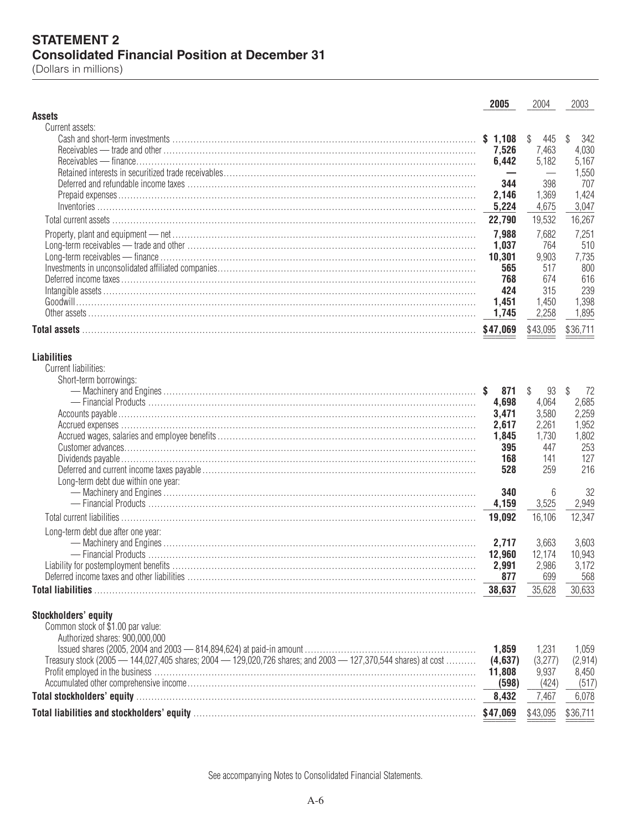## **STATEMENT 2 Consolidated Financial Position at December 31**

(Dollars in millions)

|                                                                                                                                                                                                                                | 2005             | 2004               | 2003               |
|--------------------------------------------------------------------------------------------------------------------------------------------------------------------------------------------------------------------------------|------------------|--------------------|--------------------|
| <b>Assets</b>                                                                                                                                                                                                                  |                  |                    |                    |
| Current assets:                                                                                                                                                                                                                |                  |                    |                    |
|                                                                                                                                                                                                                                | \$1,108<br>7,526 | \$<br>445<br>7,463 | \$<br>342<br>4,030 |
|                                                                                                                                                                                                                                | 6,442            | 5,182              | 5,167              |
|                                                                                                                                                                                                                                |                  |                    | 1,550              |
|                                                                                                                                                                                                                                | 344              | 398                | 707                |
|                                                                                                                                                                                                                                | 2,146            | 1,369              | 1,424              |
|                                                                                                                                                                                                                                | 5,224            | 4,675              | 3,047              |
|                                                                                                                                                                                                                                | 22,790           | 19,532             | 16,267             |
|                                                                                                                                                                                                                                | 7,988            | 7,682              | 7,251              |
|                                                                                                                                                                                                                                | 1,037            | 764                | 510                |
|                                                                                                                                                                                                                                | 10,301           | 9,903              | 7,735              |
|                                                                                                                                                                                                                                | 565              | 517                | 800                |
|                                                                                                                                                                                                                                | 768              | 674                | 616                |
|                                                                                                                                                                                                                                | 424              | 315                | 239<br>1,398       |
|                                                                                                                                                                                                                                | 1,451<br>1,745   | 1,450<br>2,258     | 1,895              |
|                                                                                                                                                                                                                                |                  |                    |                    |
|                                                                                                                                                                                                                                | \$47,069         | \$43,095           | \$36,711           |
| <b>Liabilities</b><br>Current liabilities:<br>Short-term borrowings:                                                                                                                                                           |                  |                    |                    |
|                                                                                                                                                                                                                                | 871              | $\mathbb{S}$<br>93 | \$<br>72           |
|                                                                                                                                                                                                                                | 4,698            | 4,064              | 2,685              |
|                                                                                                                                                                                                                                | 3,471<br>2,617   | 3,580<br>2,261     | 2,259<br>1,952     |
|                                                                                                                                                                                                                                | 1,845            | 1,730              | 1,802              |
|                                                                                                                                                                                                                                | 395              | 447                | 253                |
|                                                                                                                                                                                                                                | 168              | 141                | 127                |
|                                                                                                                                                                                                                                | 528              | 259                | 216                |
| Long-term debt due within one year:                                                                                                                                                                                            |                  |                    |                    |
|                                                                                                                                                                                                                                | 340              | 6                  | 32                 |
|                                                                                                                                                                                                                                | 4,159            | 3,525              | 2,949              |
|                                                                                                                                                                                                                                | 19,092           | 16,106             | 12,347             |
| Long-term debt due after one year:                                                                                                                                                                                             |                  |                    |                    |
|                                                                                                                                                                                                                                | 2,717            | 3,663<br>12,174    | 3,603<br>10,943    |
|                                                                                                                                                                                                                                | 12,960<br>2,991  | 2,986              | 3,172              |
| Deferred income taxes and other liabilities                                                                                                                                                                                    | 877              | 699                | 568                |
|                                                                                                                                                                                                                                | 38,637           | 35,628             | 30,633             |
| Stockholders' equity<br>Common stock of \$1.00 par value:<br>Authorized shares: 900,000,000                                                                                                                                    |                  |                    |                    |
|                                                                                                                                                                                                                                | 1,859            | 1,231              | 1,059              |
| Treasury stock (2005 - 144,027,405 shares; 2004 - 129,020,726 shares; and 2003 - 127,370,544 shares) at cost                                                                                                                   | (4,637)          | (3,277)            | (2,914)            |
|                                                                                                                                                                                                                                | 11,808           | 9,937              | 8,450              |
|                                                                                                                                                                                                                                | (598)            | (424)              | (517)              |
|                                                                                                                                                                                                                                | 8,432            | 7,467              | 6,078              |
| Total liabilities and stockholders' equity manufacture and the control of the state of the state of the state of the state of the state of the state of the state of the state of the state of the state of the state of the s |                  | \$43,095           | \$36,711           |

See accompanying Notes to Consolidated Financial Statements.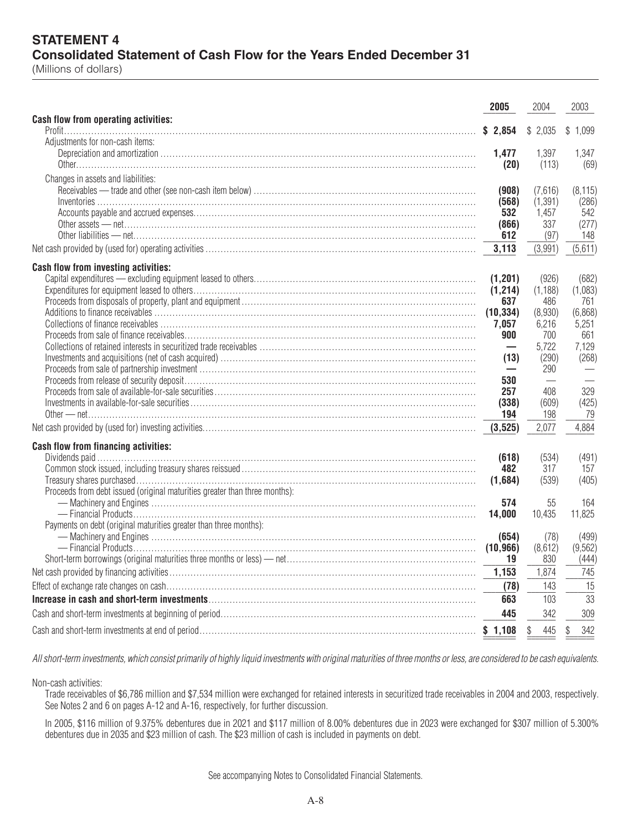## **STATEMENT 4 Consolidated Statement of Cash Flow for the Years Ended December 31**

(Millions of dollars)

| Cash flow from operating activities:<br>\$2,854<br>\$2,035<br>\$1,099<br>Adjustments for non-cash items:<br>1.477<br>1,397<br>1,347<br>(20)<br>(113)<br>(69)<br>Changes in assets and liabilities:<br>(7,616)<br>(8, 115)<br>(908)<br>(1, 391)<br>(568)<br>(286)<br>542<br>532<br>1,457<br>(277)<br>(866)<br>337<br>612<br>(97)<br>148<br>3,113<br>(3,991)<br>(5,611)<br>Cash flow from investing activities:<br>(682)<br>(1, 201)<br>(926)<br>(1, 214)<br>(1, 188)<br>(1,083)<br>637<br>486<br>761<br>(10, 334)<br>(6,868)<br>(8,930)<br>5,251<br>7,057<br>6,216<br>900<br>661<br>700<br>5,722<br>7,129<br>$\overline{\phantom{0}}$<br>(268)<br>(13)<br>(290)<br>290<br>530<br>257<br>408<br>329<br>(338)<br>(609)<br>(425)<br>194<br>79<br>198<br>2,077<br>4,884<br>(3, 525)<br>Cash flow from financing activities:<br>(491)<br>(534)<br>(618)<br>317<br>482<br>157<br>(539)<br>(405)<br>(1,684)<br>Proceeds from debt issued (original maturities greater than three months):<br>574<br>55<br>164<br>11,825<br>14,000<br>10,435<br>Payments on debt (original maturities greater than three months):<br>(499)<br>(654)<br>(78)<br>(10, 966)<br>(8,612)<br>(9, 562)<br>830<br>(444)<br>19<br>1,153<br>1,874<br>745<br>15<br>(78)<br>143<br>$\overline{33}$<br>103<br>663<br>445<br>342<br>309<br>342<br>\$<br>\$<br>445 | 2005 | 2004 | 2003 |
|----------------------------------------------------------------------------------------------------------------------------------------------------------------------------------------------------------------------------------------------------------------------------------------------------------------------------------------------------------------------------------------------------------------------------------------------------------------------------------------------------------------------------------------------------------------------------------------------------------------------------------------------------------------------------------------------------------------------------------------------------------------------------------------------------------------------------------------------------------------------------------------------------------------------------------------------------------------------------------------------------------------------------------------------------------------------------------------------------------------------------------------------------------------------------------------------------------------------------------------------------------------------------------------------------------------------------|------|------|------|
|                                                                                                                                                                                                                                                                                                                                                                                                                                                                                                                                                                                                                                                                                                                                                                                                                                                                                                                                                                                                                                                                                                                                                                                                                                                                                                                            |      |      |      |
|                                                                                                                                                                                                                                                                                                                                                                                                                                                                                                                                                                                                                                                                                                                                                                                                                                                                                                                                                                                                                                                                                                                                                                                                                                                                                                                            |      |      |      |
|                                                                                                                                                                                                                                                                                                                                                                                                                                                                                                                                                                                                                                                                                                                                                                                                                                                                                                                                                                                                                                                                                                                                                                                                                                                                                                                            |      |      |      |
|                                                                                                                                                                                                                                                                                                                                                                                                                                                                                                                                                                                                                                                                                                                                                                                                                                                                                                                                                                                                                                                                                                                                                                                                                                                                                                                            |      |      |      |
|                                                                                                                                                                                                                                                                                                                                                                                                                                                                                                                                                                                                                                                                                                                                                                                                                                                                                                                                                                                                                                                                                                                                                                                                                                                                                                                            |      |      |      |
|                                                                                                                                                                                                                                                                                                                                                                                                                                                                                                                                                                                                                                                                                                                                                                                                                                                                                                                                                                                                                                                                                                                                                                                                                                                                                                                            |      |      |      |
|                                                                                                                                                                                                                                                                                                                                                                                                                                                                                                                                                                                                                                                                                                                                                                                                                                                                                                                                                                                                                                                                                                                                                                                                                                                                                                                            |      |      |      |
|                                                                                                                                                                                                                                                                                                                                                                                                                                                                                                                                                                                                                                                                                                                                                                                                                                                                                                                                                                                                                                                                                                                                                                                                                                                                                                                            |      |      |      |
|                                                                                                                                                                                                                                                                                                                                                                                                                                                                                                                                                                                                                                                                                                                                                                                                                                                                                                                                                                                                                                                                                                                                                                                                                                                                                                                            |      |      |      |
|                                                                                                                                                                                                                                                                                                                                                                                                                                                                                                                                                                                                                                                                                                                                                                                                                                                                                                                                                                                                                                                                                                                                                                                                                                                                                                                            |      |      |      |
|                                                                                                                                                                                                                                                                                                                                                                                                                                                                                                                                                                                                                                                                                                                                                                                                                                                                                                                                                                                                                                                                                                                                                                                                                                                                                                                            |      |      |      |
|                                                                                                                                                                                                                                                                                                                                                                                                                                                                                                                                                                                                                                                                                                                                                                                                                                                                                                                                                                                                                                                                                                                                                                                                                                                                                                                            |      |      |      |
|                                                                                                                                                                                                                                                                                                                                                                                                                                                                                                                                                                                                                                                                                                                                                                                                                                                                                                                                                                                                                                                                                                                                                                                                                                                                                                                            |      |      |      |
|                                                                                                                                                                                                                                                                                                                                                                                                                                                                                                                                                                                                                                                                                                                                                                                                                                                                                                                                                                                                                                                                                                                                                                                                                                                                                                                            |      |      |      |
|                                                                                                                                                                                                                                                                                                                                                                                                                                                                                                                                                                                                                                                                                                                                                                                                                                                                                                                                                                                                                                                                                                                                                                                                                                                                                                                            |      |      |      |
|                                                                                                                                                                                                                                                                                                                                                                                                                                                                                                                                                                                                                                                                                                                                                                                                                                                                                                                                                                                                                                                                                                                                                                                                                                                                                                                            |      |      |      |
|                                                                                                                                                                                                                                                                                                                                                                                                                                                                                                                                                                                                                                                                                                                                                                                                                                                                                                                                                                                                                                                                                                                                                                                                                                                                                                                            |      |      |      |
|                                                                                                                                                                                                                                                                                                                                                                                                                                                                                                                                                                                                                                                                                                                                                                                                                                                                                                                                                                                                                                                                                                                                                                                                                                                                                                                            |      |      |      |
|                                                                                                                                                                                                                                                                                                                                                                                                                                                                                                                                                                                                                                                                                                                                                                                                                                                                                                                                                                                                                                                                                                                                                                                                                                                                                                                            |      |      |      |
|                                                                                                                                                                                                                                                                                                                                                                                                                                                                                                                                                                                                                                                                                                                                                                                                                                                                                                                                                                                                                                                                                                                                                                                                                                                                                                                            |      |      |      |
|                                                                                                                                                                                                                                                                                                                                                                                                                                                                                                                                                                                                                                                                                                                                                                                                                                                                                                                                                                                                                                                                                                                                                                                                                                                                                                                            |      |      |      |
|                                                                                                                                                                                                                                                                                                                                                                                                                                                                                                                                                                                                                                                                                                                                                                                                                                                                                                                                                                                                                                                                                                                                                                                                                                                                                                                            |      |      |      |
|                                                                                                                                                                                                                                                                                                                                                                                                                                                                                                                                                                                                                                                                                                                                                                                                                                                                                                                                                                                                                                                                                                                                                                                                                                                                                                                            |      |      |      |
|                                                                                                                                                                                                                                                                                                                                                                                                                                                                                                                                                                                                                                                                                                                                                                                                                                                                                                                                                                                                                                                                                                                                                                                                                                                                                                                            |      |      |      |
|                                                                                                                                                                                                                                                                                                                                                                                                                                                                                                                                                                                                                                                                                                                                                                                                                                                                                                                                                                                                                                                                                                                                                                                                                                                                                                                            |      |      |      |
|                                                                                                                                                                                                                                                                                                                                                                                                                                                                                                                                                                                                                                                                                                                                                                                                                                                                                                                                                                                                                                                                                                                                                                                                                                                                                                                            |      |      |      |
|                                                                                                                                                                                                                                                                                                                                                                                                                                                                                                                                                                                                                                                                                                                                                                                                                                                                                                                                                                                                                                                                                                                                                                                                                                                                                                                            |      |      |      |
|                                                                                                                                                                                                                                                                                                                                                                                                                                                                                                                                                                                                                                                                                                                                                                                                                                                                                                                                                                                                                                                                                                                                                                                                                                                                                                                            |      |      |      |
|                                                                                                                                                                                                                                                                                                                                                                                                                                                                                                                                                                                                                                                                                                                                                                                                                                                                                                                                                                                                                                                                                                                                                                                                                                                                                                                            |      |      |      |
|                                                                                                                                                                                                                                                                                                                                                                                                                                                                                                                                                                                                                                                                                                                                                                                                                                                                                                                                                                                                                                                                                                                                                                                                                                                                                                                            |      |      |      |
|                                                                                                                                                                                                                                                                                                                                                                                                                                                                                                                                                                                                                                                                                                                                                                                                                                                                                                                                                                                                                                                                                                                                                                                                                                                                                                                            |      |      |      |
|                                                                                                                                                                                                                                                                                                                                                                                                                                                                                                                                                                                                                                                                                                                                                                                                                                                                                                                                                                                                                                                                                                                                                                                                                                                                                                                            |      |      |      |
|                                                                                                                                                                                                                                                                                                                                                                                                                                                                                                                                                                                                                                                                                                                                                                                                                                                                                                                                                                                                                                                                                                                                                                                                                                                                                                                            |      |      |      |
|                                                                                                                                                                                                                                                                                                                                                                                                                                                                                                                                                                                                                                                                                                                                                                                                                                                                                                                                                                                                                                                                                                                                                                                                                                                                                                                            |      |      |      |
|                                                                                                                                                                                                                                                                                                                                                                                                                                                                                                                                                                                                                                                                                                                                                                                                                                                                                                                                                                                                                                                                                                                                                                                                                                                                                                                            |      |      |      |
|                                                                                                                                                                                                                                                                                                                                                                                                                                                                                                                                                                                                                                                                                                                                                                                                                                                                                                                                                                                                                                                                                                                                                                                                                                                                                                                            |      |      |      |

*All short-term investments, which consist primarily of highly liquid investments with original maturities of three months or less, are considered to be cash equivalents.*

Non-cash activities:

Trade receivables of \$6,786 million and \$7,534 million were exchanged for retained interests in securitized trade receivables in 2004 and 2003, respectively. See Notes 2 and 6 on pages A-12 and A-16, respectively, for further discussion.

In 2005, \$116 million of 9.375% debentures due in 2021 and \$117 million of 8.00% debentures due in 2023 were exchanged for \$307 million of 5.300% debentures due in 2035 and \$23 million of cash. The \$23 million of cash is included in payments on debt.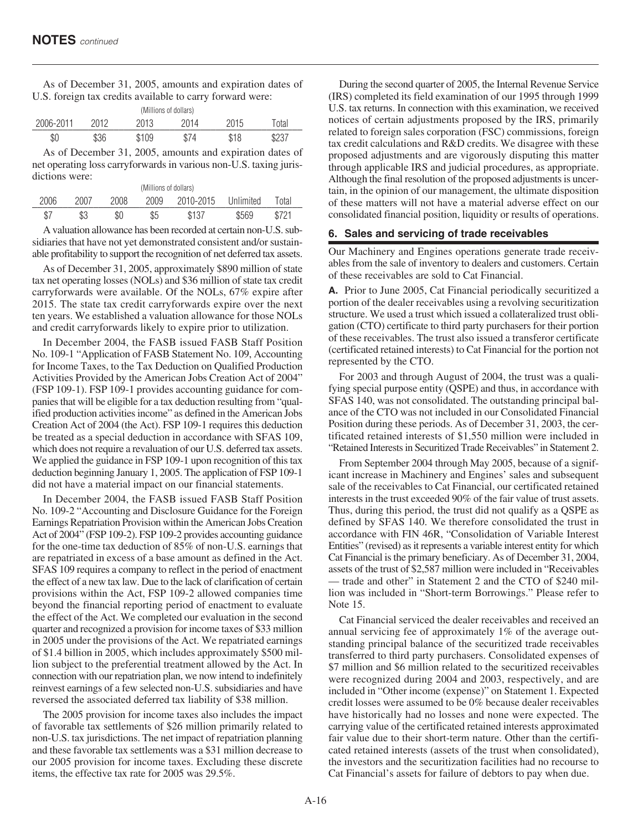As of December 31, 2005, amounts and expiration dates of U.S. foreign tax credits available to carry forward were:

| (Millions of dollars) |      |       |      |      |       |
|-----------------------|------|-------|------|------|-------|
| 2006-2011             | 2012 | 2013  | 2014 | 2015 | `otal |
| \$0                   | \$36 | \$109 | \$74 | \$18 | \$237 |

As of December 31, 2005, amounts and expiration dates of net operating loss carryforwards in various non-U.S. taxing jurisdictions were:

| (Millions of dollars) |      |      |      |                     |       |       |  |
|-----------------------|------|------|------|---------------------|-------|-------|--|
| 2006                  | 2007 | 2008 | 2009 | 2010-2015 Unlimited |       | Total |  |
| \$7                   | \$3  | \$0  | \$5  | \$137               | \$569 | R721  |  |

A valuation allowance has been recorded at certain non-U.S. subsidiaries that have not yet demonstrated consistent and/or sustainable profitability to support the recognition of net deferred tax assets.

As of December 31, 2005, approximately \$890 million of state tax net operating losses (NOLs) and \$36 million of state tax credit carryforwards were available. Of the NOLs, 67% expire after 2015. The state tax credit carryforwards expire over the next ten years. We established a valuation allowance for those NOLs and credit carryforwards likely to expire prior to utilization.

In December 2004, the FASB issued FASB Staff Position No. 109-1 "Application of FASB Statement No. 109, Accounting for Income Taxes, to the Tax Deduction on Qualified Production Activities Provided by the American Jobs Creation Act of 2004" (FSP 109-1). FSP 109-1 provides accounting guidance for companies that will be eligible for a tax deduction resulting from "qualified production activities income" as defined in the American Jobs Creation Act of 2004 (the Act). FSP 109-1 requires this deduction be treated as a special deduction in accordance with SFAS 109, which does not require a revaluation of our U.S. deferred tax assets. We applied the guidance in FSP 109-1 upon recognition of this tax deduction beginning January 1, 2005. The application of FSP 109-1 did not have a material impact on our financial statements.

In December 2004, the FASB issued FASB Staff Position No. 109-2 "Accounting and Disclosure Guidance for the Foreign Earnings Repatriation Provision within the American Jobs Creation Act of 2004" (FSP 109-2). FSP 109-2 provides accounting guidance for the one-time tax deduction of 85% of non-U.S. earnings that are repatriated in excess of a base amount as defined in the Act. SFAS 109 requires a company to reflect in the period of enactment the effect of a new tax law. Due to the lack of clarification of certain provisions within the Act, FSP 109-2 allowed companies time beyond the financial reporting period of enactment to evaluate the effect of the Act. We completed our evaluation in the second quarter and recognized a provision for income taxes of \$33 million in 2005 under the provisions of the Act. We repatriated earnings of \$1.4 billion in 2005, which includes approximately \$500 million subject to the preferential treatment allowed by the Act. In connection with our repatriation plan, we now intend to indefinitely reinvest earnings of a few selected non-U.S. subsidiaries and have reversed the associated deferred tax liability of \$38 million.

The 2005 provision for income taxes also includes the impact of favorable tax settlements of \$26 million primarily related to non-U.S. tax jurisdictions. The net impact of repatriation planning and these favorable tax settlements was a \$31 million decrease to our 2005 provision for income taxes. Excluding these discrete items, the effective tax rate for 2005 was 29.5%.

During the second quarter of 2005, the Internal Revenue Service (IRS) completed its field examination of our 1995 through 1999 U.S. tax returns. In connection with this examination, we received notices of certain adjustments proposed by the IRS, primarily related to foreign sales corporation (FSC) commissions, foreign tax credit calculations and R&D credits. We disagree with these proposed adjustments and are vigorously disputing this matter through applicable IRS and judicial procedures, as appropriate. Although the final resolution of the proposed adjustments is uncertain, in the opinion of our management, the ultimate disposition of these matters will not have a material adverse effect on our consolidated financial position, liquidity or results of operations.

#### **6. Sales and servicing of trade receivables**

Our Machinery and Engines operations generate trade receivables from the sale of inventory to dealers and customers. Certain of these receivables are sold to Cat Financial.

**A.** Prior to June 2005, Cat Financial periodically securitized a portion of the dealer receivables using a revolving securitization structure. We used a trust which issued a collateralized trust obligation (CTO) certificate to third party purchasers for their portion of these receivables. The trust also issued a transferor certificate (certificated retained interests) to Cat Financial for the portion not represented by the CTO.

For 2003 and through August of 2004, the trust was a qualifying special purpose entity (QSPE) and thus, in accordance with SFAS 140, was not consolidated. The outstanding principal balance of the CTO was not included in our Consolidated Financial Position during these periods. As of December 31, 2003, the certificated retained interests of \$1,550 million were included in "Retained Interests in Securitized Trade Receivables" in Statement 2.

From September 2004 through May 2005, because of a significant increase in Machinery and Engines' sales and subsequent sale of the receivables to Cat Financial, our certificated retained interests in the trust exceeded 90% of the fair value of trust assets. Thus, during this period, the trust did not qualify as a QSPE as defined by SFAS 140. We therefore consolidated the trust in accordance with FIN 46R, "Consolidation of Variable Interest Entities" (revised) as it represents a variable interest entity for which Cat Financial is the primary beneficiary. As of December 31, 2004, assets of the trust of \$2,587 million were included in "Receivables — trade and other" in Statement 2 and the CTO of \$240 million was included in "Short-term Borrowings." Please refer to Note 15.

Cat Financial serviced the dealer receivables and received an annual servicing fee of approximately 1% of the average outstanding principal balance of the securitized trade receivables transferred to third party purchasers. Consolidated expenses of \$7 million and \$6 million related to the securitized receivables were recognized during 2004 and 2003, respectively, and are included in "Other income (expense)" on Statement 1. Expected credit losses were assumed to be 0% because dealer receivables have historically had no losses and none were expected. The carrying value of the certificated retained interests approximated fair value due to their short-term nature. Other than the certificated retained interests (assets of the trust when consolidated), the investors and the securitization facilities had no recourse to Cat Financial's assets for failure of debtors to pay when due.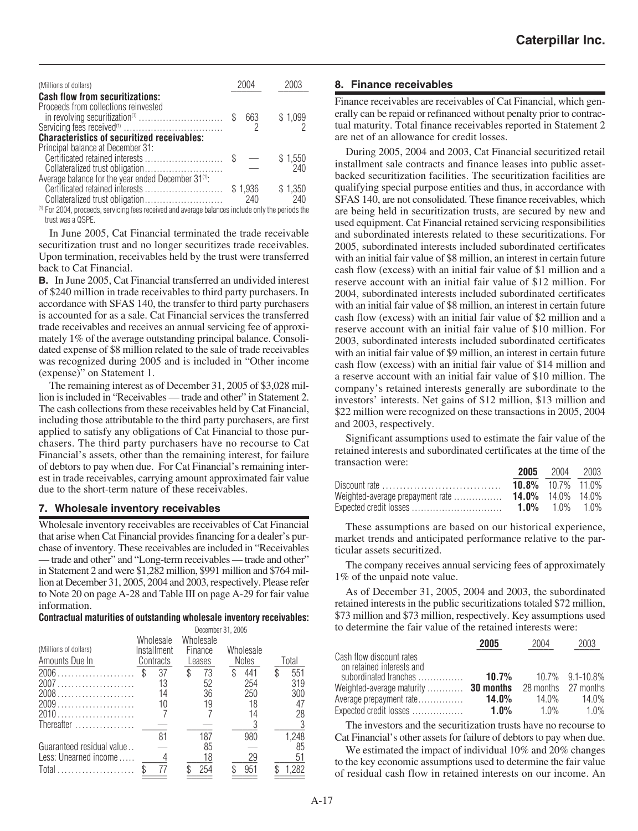| (Millions of dollars)                                                                                                            | 2004           |                |
|----------------------------------------------------------------------------------------------------------------------------------|----------------|----------------|
| <b>Cash flow from securitizations:</b><br>Proceeds from collections reinvested                                                   |                |                |
| in revolving securitization <sup>(1)</sup> \$                                                                                    | 663            | \$1,099        |
| <b>Characteristics of securitized receivables:</b>                                                                               |                |                |
| Principal balance at December 31:<br>Collateralized trust obligation                                                             |                | \$1,550<br>240 |
| Average balance for the year ended December 31 <sup>(1)</sup> :                                                                  | \$1.936<br>240 | \$1,350<br>240 |
| <sup>(1)</sup> For 2004, proceeds, servicing fees received and average balances include only the periods the<br>trust was a OSPF |                |                |

In June 2005, Cat Financial terminated the trade receivable securitization trust and no longer securitizes trade receivables. Upon termination, receivables held by the trust were transferred back to Cat Financial.

**B.** In June 2005, Cat Financial transferred an undivided interest of \$240 million in trade receivables to third party purchasers. In accordance with SFAS 140, the transfer to third party purchasers is accounted for as a sale. Cat Financial services the transferred trade receivables and receives an annual servicing fee of approximately 1% of the average outstanding principal balance. Consolidated expense of \$8 million related to the sale of trade receivables was recognized during 2005 and is included in "Other income (expense)" on Statement 1.

The remaining interest as of December 31, 2005 of \$3,028 million is included in "Receivables — trade and other" in Statement 2. The cash collections from these receivables held by Cat Financial, including those attributable to the third party purchasers, are first applied to satisfy any obligations of Cat Financial to those purchasers. The third party purchasers have no recourse to Cat Financial's assets, other than the remaining interest, for failure of debtors to pay when due. For Cat Financial's remaining interest in trade receivables, carrying amount approximated fair value due to the short-term nature of these receivables.

#### **7. Wholesale inventory receivables**

Wholesale inventory receivables are receivables of Cat Financial that arise when Cat Financial provides financing for a dealer's purchase of inventory. These receivables are included in "Receivables — trade and other" and "Long-term receivables — trade and other" in Statement 2 and were \$1,282 million, \$991 million and \$764 million at December 31, 2005, 2004 and 2003, respectively. Please refer to Note 20 on page A-28 and Table III on page A-29 for fair value information.

#### **Contractual maturities of outstanding wholesale inventory receivables:**

|                           | December 31, 2005        |                      |              |           |
|---------------------------|--------------------------|----------------------|--------------|-----------|
| (Millions of dollars)     | Wholesale<br>Installment | Wholesale<br>Finance | Wholesale    |           |
| Amounts Due In            | Contracts                | Leases               | <b>Notes</b> | Total     |
| 2006                      | 37                       | \$<br>73             | \$<br>441    | 551<br>\$ |
| 2007                      | 13                       | 52                   | 254          | 319       |
| $2008$                    | 14                       | 36                   | 250          | 300       |
| 2009                      | 10                       | 19                   | 18           | 47        |
| 2010                      |                          |                      |              | 28        |
| Thereafter                |                          |                      |              |           |
|                           | 81                       | 187                  | 980          | 1,248     |
| Guaranteed residual value |                          | 85                   |              | 85        |
| Less: Unearned income     |                          | 18                   | 29           | 51        |
| Total                     | 77                       | 254                  | 951          | 1.282     |
|                           |                          |                      |              |           |

#### **8. Finance receivables**

Finance receivables are receivables of Cat Financial, which generally can be repaid or refinanced without penalty prior to contractual maturity. Total finance receivables reported in Statement 2 are net of an allowance for credit losses.

During 2005, 2004 and 2003, Cat Financial securitized retail installment sale contracts and finance leases into public assetbacked securitization facilities. The securitization facilities are qualifying special purpose entities and thus, in accordance with SFAS 140, are not consolidated. These finance receivables, which are being held in securitization trusts, are secured by new and used equipment. Cat Financial retained servicing responsibilities and subordinated interests related to these securitizations. For 2005, subordinated interests included subordinated certificates with an initial fair value of \$8 million, an interest in certain future cash flow (excess) with an initial fair value of \$1 million and a reserve account with an initial fair value of \$12 million. For 2004, subordinated interests included subordinated certificates with an initial fair value of \$8 million, an interest in certain future cash flow (excess) with an initial fair value of \$2 million and a reserve account with an initial fair value of \$10 million. For 2003, subordinated interests included subordinated certificates with an initial fair value of \$9 million, an interest in certain future cash flow (excess) with an initial fair value of \$14 million and a reserve account with an initial fair value of \$10 million. The company's retained interests generally are subordinate to the investors' interests. Net gains of \$12 million, \$13 million and \$22 million were recognized on these transactions in 2005, 2004 and 2003, respectively.

Significant assumptions used to estimate the fair value of the retained interests and subordinated certificates at the time of the transaction were:

|                                                                                |                          | <b>2005</b> 2004 2003 |  |
|--------------------------------------------------------------------------------|--------------------------|-----------------------|--|
| Discount rate $\ldots, \ldots, \ldots, \ldots, \ldots, \ldots, \ldots, \ldots$ | <b>10.8%</b> 10.7% 11.0% |                       |  |
|                                                                                |                          |                       |  |
| Expected credit losses                                                         |                          | <b>1.0%</b> 1.0% 1.0% |  |

These assumptions are based on our historical experience, market trends and anticipated performance relative to the particular assets securitized.

The company receives annual servicing fees of approximately 1% of the unpaid note value.

As of December 31, 2005, 2004 and 2003, the subordinated retained interests in the public securitizations totaled \$72 million, \$73 million and \$73 million, respectively. Key assumptions used to determine the fair value of the retained interests were:

|                                      | 2005         | 2004                | 2003            |
|--------------------------------------|--------------|---------------------|-----------------|
| Cash flow discount rates             |              |                     |                 |
| on retained interests and            |              |                     |                 |
| subordinated tranches                | 10.7%        |                     | 10.7% 9.1-10.8% |
| Weighted-average maturity  30 months |              | 28 months 27 months |                 |
| Average prepayment rate              | <b>14.0%</b> | 14.0%               | 14.0%           |
| Expected credit losses               | $1.0\%$      | 1 በ%                | $1.0\%$         |

The investors and the securitization trusts have no recourse to Cat Financial's other assets for failure of debtors to pay when due.

We estimated the impact of individual 10% and 20% changes to the key economic assumptions used to determine the fair value of residual cash flow in retained interests on our income. An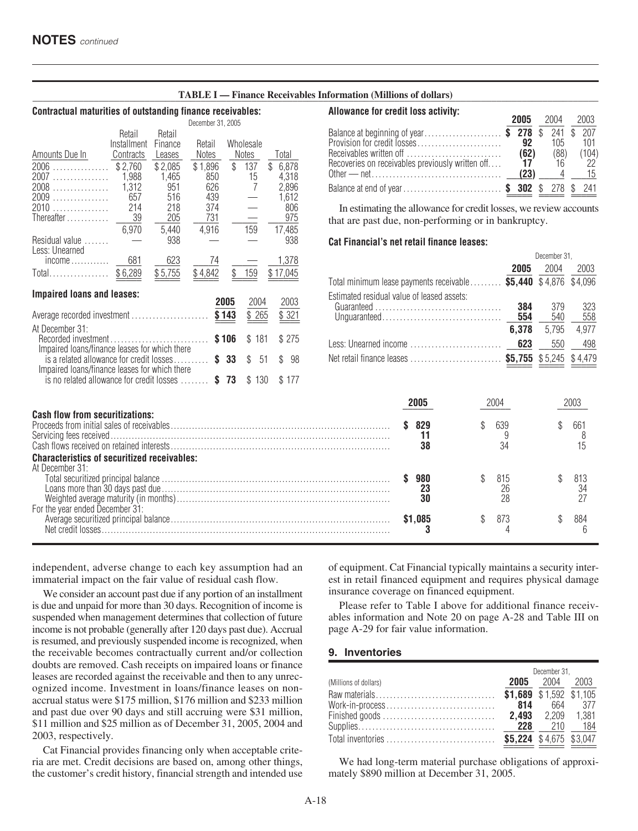#### **\_\_\_\_\_\_\_\_\_\_\_\_\_\_\_\_\_\_\_\_\_\_\_\_\_\_\_\_\_\_\_\_\_\_\_\_\_\_\_\_\_\_\_\_\_\_\_\_\_\_\_\_\_\_\_\_\_\_\_\_\_\_\_\_\_\_\_\_\_\_\_\_\_\_\_\_\_\_\_\_\_\_\_\_\_\_\_\_\_\_\_\_\_\_\_\_\_\_\_\_\_\_\_\_\_\_\_\_\_\_\_ TABLE I — Finance Receivables Information (Millions of dollars)**

#### **Contractual maturities of outstanding finance receivables:**

|                                               |                       |                   | December 31, 2005 |       |              |             |
|-----------------------------------------------|-----------------------|-------------------|-------------------|-------|--------------|-------------|
|                                               | Retail<br>Installment | Retail<br>Finance | Retail            |       | Wholesale    |             |
| Amounts Due In                                | Contracts             | Leases            | Notes             |       | <b>Notes</b> | Total       |
| 2006<br>.                                     | \$2,760               | \$2,085           | \$1,896           | \$    | 137          | \$<br>6,878 |
| 2007<br>.                                     | 1.988                 | 1.465             | 850               |       | 15           | 4.318       |
| 2008                                          | 1,312                 | 951               | 626               |       | 7            | 2.896       |
| .<br>2009                                     | 657                   | 516               | 439               |       |              | 1,612       |
| .<br>2010.                                    | 214                   | 218               | 374               |       |              | 806         |
| .                                             |                       |                   |                   |       |              |             |
| Thereafter                                    | 39                    | 205               | 731               |       |              | 975         |
|                                               | 6,970                 | 5.440             | 4,916             |       | 159          | 17,485      |
| Residual value                                |                       | 938               |                   |       |              | 938         |
| Less: Unearned                                |                       |                   |                   |       |              |             |
| $income \dots \dots \dots$                    | 681                   | 623               | 74                |       |              | 1,378       |
| Total                                         | \$6,289               | \$5,755           | \$4,842           | \$    | 159          | \$17,045    |
|                                               |                       |                   |                   |       |              |             |
| <b>Impaired loans and leases:</b>             |                       |                   |                   |       |              |             |
|                                               |                       |                   |                   | 2005  | 2004         | 2003        |
| Average recorded investment                   |                       |                   |                   | \$143 | \$ 265       | \$321       |
| At December 31:                               |                       |                   |                   |       |              |             |
| Recorded investment                           |                       |                   |                   | \$106 | \$181        | \$275       |
| Impaired Ioans/finance leases for which there |                       |                   |                   |       |              |             |
| is a related allowance for credit losses      |                       |                   | \$                | 33    | \$<br>51     | \$<br>98    |
| Impaired Ioans/finance leases for which there |                       |                   |                   |       |              |             |
| is no related allowance for credit losses     |                       |                   | \$                | 73    | 130<br>\$    | \$177       |
|                                               |                       |                   |                   |       |              |             |

#### **Allowance for credit loss activity:**

|                                                  | 2005 2004 2003     |                    |                       |
|--------------------------------------------------|--------------------|--------------------|-----------------------|
| Balance at beginning of year\$ 278 \$ 241 \$ 207 | 92                 | 105                | 101                   |
| Recoveries on receivables previously written off | (62)<br>17<br>(23) | (88)<br>16<br>$-4$ | (104)<br>- 22<br>- 15 |
| Balance at end of year \$ 302 \$ 278 \$ 241      |                    |                    |                       |

In estimating the allowance for credit losses, we review accounts that are past due, non-performing or in bankruptcy.

#### **Cat Financial's net retail finance leases:**

| $income \ldots$ 681<br>623<br>74                                                                                         |       | 1,378               |                                            |           | December 31.            |       |
|--------------------------------------------------------------------------------------------------------------------------|-------|---------------------|--------------------------------------------|-----------|-------------------------|-------|
| Total\$6,289<br>\$5,755<br>\$4,842<br>\$ 159                                                                             |       | \$17,045            |                                            | 2005      | 2004                    | 2003  |
|                                                                                                                          |       |                     | Total minimum lease payments receivable    |           | \$5,440 \$4,876 \$4,096 |       |
| <b>Impaired loans and leases:</b><br>2005                                                                                | 2004  | 2003                | Estimated residual value of leased assets: | 384       | 379                     | 323   |
| \$143<br>Average recorded investment                                                                                     | \$265 | \$321               |                                            | 554       | 540                     | 558   |
| At December 31:                                                                                                          |       |                     |                                            | 6,378     | 5,795                   | 4,977 |
| \$106<br>Impaired loans/finance leases for which there                                                                   | \$181 | \$275               | Less: Unearned income                      | 623       | 550                     | 498   |
| is a related allowance for credit losses $\frac{2}{3}$ 33 $\frac{1}{3}$<br>Impaired Ioans/finance leases for which there | -51   | $\mathbb{S}$<br>-98 | Net retail finance leases                  |           | \$5,755 \$5,245 \$4,479 |       |
| is no related allowance for credit losses  \$73 \$130                                                                    |       | \$177               |                                            |           |                         |       |
|                                                                                                                          |       |                     | 2005                                       | 2004      |                         | 2003  |
| <b>Cash flow from securitizations:</b>                                                                                   |       |                     |                                            |           |                         |       |
|                                                                                                                          |       |                     | 829<br>S.                                  | \$<br>639 | \$                      | 661   |
|                                                                                                                          |       |                     | 11                                         |           |                         | 8     |
|                                                                                                                          |       |                     | 38                                         | 34        |                         |       |
| <b>Characteristics of securitized receivables:</b><br>At December 31:                                                    |       |                     |                                            |           |                         |       |
|                                                                                                                          |       |                     | \$980                                      | 815<br>\$ | \$                      | 813   |

|  |  |                  | 813 |
|--|--|------------------|-----|
|  |  |                  | 34  |
|  |  |                  |     |
|  |  |                  |     |
|  |  |                  | 884 |
|  |  |                  |     |
|  |  |                  |     |
|  |  | \$ 815<br>\$ 873 |     |

independent, adverse change to each key assumption had an immaterial impact on the fair value of residual cash flow.

We consider an account past due if any portion of an installment is due and unpaid for more than 30 days. Recognition of income is suspended when management determines that collection of future income is not probable (generally after 120 days past due). Accrual is resumed, and previously suspended income is recognized, when the receivable becomes contractually current and/or collection doubts are removed. Cash receipts on impaired loans or finance leases are recorded against the receivable and then to any unrecognized income. Investment in loans/finance leases on nonaccrual status were \$175 million, \$176 million and \$233 million and past due over 90 days and still accruing were \$31 million, \$11 million and \$25 million as of December 31, 2005, 2004 and 2003, respectively.

Cat Financial provides financing only when acceptable criteria are met. Credit decisions are based on, among other things, the customer's credit history, financial strength and intended use

of equipment. Cat Financial typically maintains a security interest in retail financed equipment and requires physical damage insurance coverage on financed equipment.

Please refer to Table I above for additional finance receivables information and Note 20 on page A-28 and Table III on page A-29 for fair value information.

#### **9. Inventories**

|                       |                         | December 31,   |         |  |  |
|-----------------------|-------------------------|----------------|---------|--|--|
| (Millions of dollars) |                         | 2005 2004 2003 |         |  |  |
|                       | \$1,689 \$1,592 \$1,105 |                |         |  |  |
| Work-in-process       | 814                     |                | 664 377 |  |  |
|                       |                         |                |         |  |  |
|                       | 228                     |                | 210 184 |  |  |
| Total inventories     | \$5,224 \$4,675 \$3,047 |                |         |  |  |
|                       |                         |                |         |  |  |

We had long-term material purchase obligations of approximately \$890 million at December 31, 2005.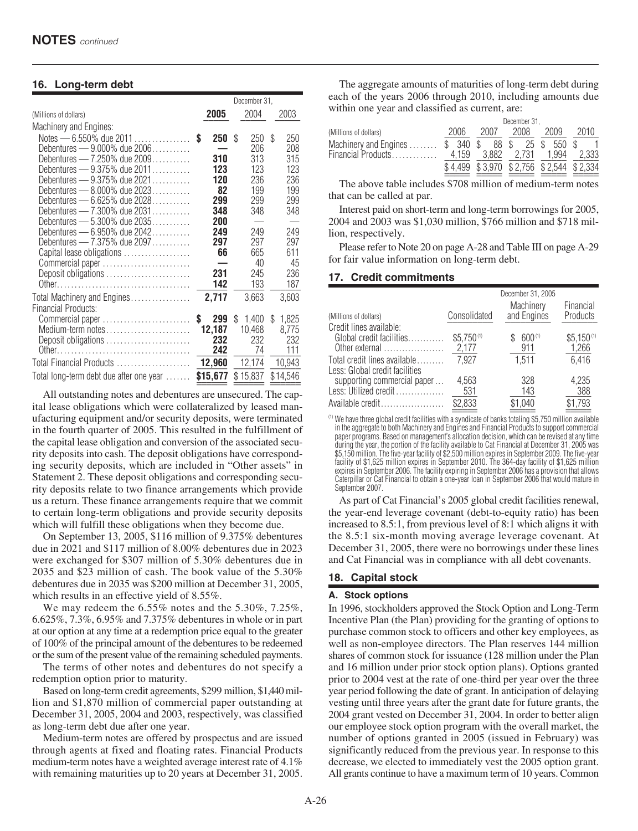#### **16. Long-term debt**

|                                                              |    |           | December 31. |            |    |            |  |
|--------------------------------------------------------------|----|-----------|--------------|------------|----|------------|--|
| (Millions of dollars)                                        |    | 2005      |              | 2004       |    | 2003       |  |
| Machinery and Engines:                                       |    |           |              |            |    |            |  |
| Notes - 6.550% due 2011                                      | S  | 250       | \$           | 250        | \$ | 250        |  |
| Debentures - 9.000% due 2006                                 |    |           |              | 206        |    | 208        |  |
| Debentures — $7.250\%$ due $2009$                            |    | 310       |              | 313        |    | 315        |  |
| Debentures $-9.375\%$ due $2011, \ldots, \ldots$             |    | 123       |              | 123        |    | 123        |  |
| Debentures - 9.375% due 2021<br>Debentures - 8.000% due 2023 |    | 120<br>82 |              | 236<br>199 |    | 236<br>199 |  |
| Debentures — $6.625\%$ due $2028$                            |    | 299       |              | 299        |    | 299        |  |
| Debentures — $7.300\%$ due $2031$                            |    | 348       |              | 348        |    | 348        |  |
| Debentures $-$ 5.300% due 2035                               |    | 200       |              |            |    |            |  |
| Debentures $-6.950\%$ due $2042$                             |    | 249       |              | 249        |    | 249        |  |
| Debentures - 7.375% due 2097                                 |    | 297       |              | 297        |    | 297        |  |
| Capital lease obligations                                    |    | 66        |              | 665        |    | 611        |  |
| Commercial paper                                             |    |           |              | 40         |    | 45         |  |
| Deposit obligations                                          |    | 231       |              | 245        |    | 236        |  |
|                                                              |    | 142       |              | 193        |    | 187        |  |
| Total Machinery and Engines                                  |    | 2,717     |              | 3,663      |    | 3,603      |  |
| Financial Products:                                          |    |           |              |            |    |            |  |
| Commercial paper                                             | \$ | 299       | \$           | 1,400      | \$ | 1,825      |  |
| Medium-term notes                                            |    | 12,187    |              | 10,468     |    | 8,775      |  |
| Deposit obligations                                          |    | 232       |              | 232        |    | 232        |  |
|                                                              |    | 242       |              | 74         |    | 111        |  |
| Total Financial Products                                     |    | 12,960    |              | 12,174     |    | 10,943     |  |
| Total long-term debt due after one year                      |    | \$15,677  |              | \$15,837   |    | \$14,546   |  |

All outstanding notes and debentures are unsecured. The capital lease obligations which were collateralized by leased manufacturing equipment and/or security deposits, were terminated in the fourth quarter of 2005. This resulted in the fulfillment of the capital lease obligation and conversion of the associated security deposits into cash. The deposit obligations have corresponding security deposits, which are included in "Other assets" in Statement 2. These deposit obligations and corresponding security deposits relate to two finance arrangements which provide us a return. These finance arrangements require that we commit to certain long-term obligations and provide security deposits which will fulfill these obligations when they become due.

On September 13, 2005, \$116 million of 9.375% debentures due in 2021 and \$117 million of 8.00% debentures due in 2023 were exchanged for \$307 million of 5.30% debentures due in 2035 and \$23 million of cash. The book value of the 5.30% debentures due in 2035 was \$200 million at December 31, 2005, which results in an effective yield of 8.55%.

We may redeem the 6.55% notes and the 5.30%, 7.25%, 6.625%, 7.3%, 6.95% and 7.375% debentures in whole or in part at our option at any time at a redemption price equal to the greater of 100% of the principal amount of the debentures to be redeemed or the sum of the present value of the remaining scheduled payments.

The terms of other notes and debentures do not specify a redemption option prior to maturity.

Based on long-term credit agreements, \$299 million, \$1,440 million and \$1,870 million of commercial paper outstanding at December 31, 2005, 2004 and 2003, respectively, was classified as long-term debt due after one year.

Medium-term notes are offered by prospectus and are issued through agents at fixed and floating rates. Financial Products medium-term notes have a weighted average interest rate of 4.1% with remaining maturities up to 20 years at December 31, 2005.

The aggregate amounts of maturities of long-term debt during each of the years 2006 through 2010, including amounts due within one year and classified as current, are:

|                                                                           |       |      | December 31,                            |      |      |
|---------------------------------------------------------------------------|-------|------|-----------------------------------------|------|------|
| (Millions of dollars)                                                     | 2006  | 2007 | 2008                                    | 2009 | 2010 |
| Machinery and Engines $$340$ $$88$ $$25$ $$550$ $$$<br>Financial Products | 4.159 |      | 3,882 2,731 1,994 2,333                 |      |      |
|                                                                           |       |      | \$4,499 \$3,970 \$2,756 \$2,544 \$2,334 |      |      |

The above table includes \$708 million of medium-term notes that can be called at par.

Interest paid on short-term and long-term borrowings for 2005, 2004 and 2003 was \$1,030 million, \$766 million and \$718 million, respectively.

Please refer to Note 20 on page A-28 and Table III on page A-29 for fair value information on long-term debt.

#### **17. Credit commitments**

|                                                 |                | December 31, 2005        |                              |
|-------------------------------------------------|----------------|--------------------------|------------------------------|
| (Millions of dollars)                           | Consolidated   | Machinery<br>and Engines | Financial<br><b>Products</b> |
| Credit lines available:                         |                |                          |                              |
| Global credit facilities                        | $$5,750^{(1)}$ | 600(1)                   | $$5,150^{(1)}$               |
| Other external $\dots\dots\dots\dots\dots\dots$ | 2,177          | 911                      | 1,266                        |
| Total credit lines available                    | 7,927          | 1.511                    | 6,416                        |
| Less: Global credit facilities                  |                |                          |                              |
| supporting commercial paper                     | 4,563          | 328                      | 4,235                        |
| Less: Utilized credit                           | 531            | 143                      | 388                          |
| Available credit                                | \$2,833        | \$1,040                  | \$1,793                      |
|                                                 |                |                          |                              |

(1) We have three global credit facilities with a syndicate of banks totaling \$5,750 million available in the aggregate to both Machinery and Engines and Financial Products to support commercial paper programs. Based on management's allocation decision, which can be revised at any time during the year, the portion of the facility available to Cat Financial at December 31, 2005 was \$5,150 million. The five-year facility of \$2,500 million expires in September 2009. The five-year facility of \$1,625 million expires in September 2010. The 364-day facility of \$1,625 million expires in September 2006. The facility expiring in September 2006 has a provision that allows Caterpillar or Cat Financial to obtain a one-year loan in September 2006 that would mature in September 2007

As part of Cat Financial's 2005 global credit facilities renewal, the year-end leverage covenant (debt-to-equity ratio) has been increased to 8.5:1, from previous level of 8:1 which aligns it with the 8.5:1 six-month moving average leverage covenant. At December 31, 2005, there were no borrowings under these lines and Cat Financial was in compliance with all debt covenants.

#### **18. Capital stock**

#### **A. Stock options**

In 1996, stockholders approved the Stock Option and Long-Term Incentive Plan (the Plan) providing for the granting of options to purchase common stock to officers and other key employees, as well as non-employee directors. The Plan reserves 144 million shares of common stock for issuance (128 million under the Plan and 16 million under prior stock option plans). Options granted prior to 2004 vest at the rate of one-third per year over the three year period following the date of grant. In anticipation of delaying vesting until three years after the grant date for future grants, the 2004 grant vested on December 31, 2004. In order to better align our employee stock option program with the overall market, the number of options granted in 2005 (issued in February) was significantly reduced from the previous year. In response to this decrease, we elected to immediately vest the 2005 option grant. All grants continue to have a maximum term of 10 years. Common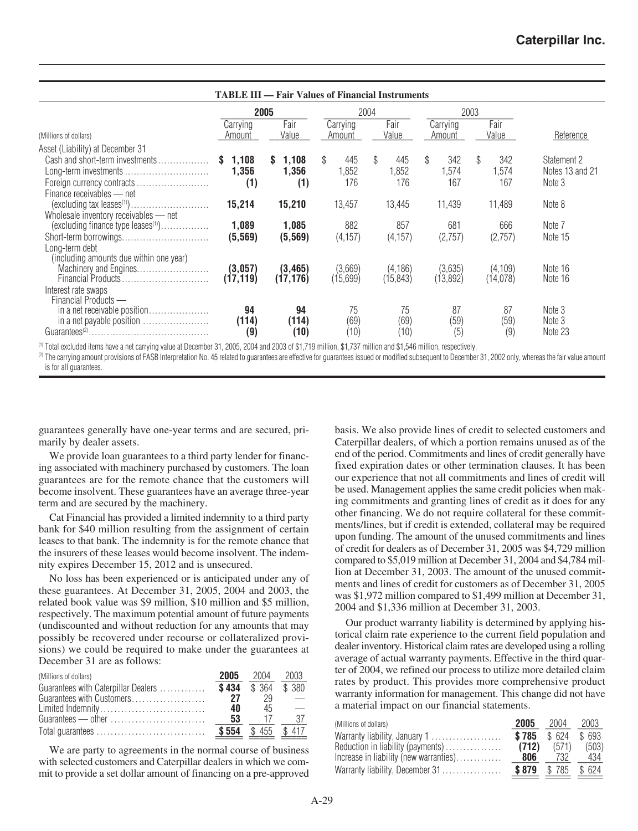|                                                                                                                                                         |                            |                         |                           | <b>TABLE III — Fair Values of Financial Instruments</b> |                          |                           |                                          |
|---------------------------------------------------------------------------------------------------------------------------------------------------------|----------------------------|-------------------------|---------------------------|---------------------------------------------------------|--------------------------|---------------------------|------------------------------------------|
|                                                                                                                                                         | 2005                       |                         |                           | 2004                                                    |                          | 2003                      |                                          |
| (Millions of dollars)                                                                                                                                   | Carrying<br>Amount         | Fair<br>Value           | Carrying<br>Amount        | Fair<br>Value                                           | Carrying<br>Amount       | Fair<br>Value             | Reference                                |
| Asset (Liability) at December 31                                                                                                                        |                            |                         |                           |                                                         |                          |                           |                                          |
| Cash and short-term investments<br>Finance receivables - net                                                                                            | 1,108<br>S<br>1,356<br>(1) | \$1,108<br>1,356<br>(1) | \$<br>445<br>1,852<br>176 | \$<br>445<br>1,852<br>176                               | \$<br>342<br>.574<br>167 | \$<br>342<br>1,574<br>167 | Statement 2<br>Notes 13 and 21<br>Note 3 |
| $(excluding tax leaves(1)) \dots \dots \dots \dots \dots \dots \dots$<br>Wholesale inventory receivables - net                                          | 15,214                     | 15,210                  | 13,457                    | 13,445                                                  | 11,439                   | 11,489                    | Note 8                                   |
| (excluding finance type leases <sup>(1)</sup> )<br>Short-term borrowings<br>Long-term debt<br>(including amounts due within one year)                   | 1,089<br>(5, 569)          | 1,085<br>(5, 569)       | 882<br>(4, 157)           | 857<br>(4, 157)                                         | 681<br>(2,757)           | 666<br>(2,757)            | Note 7<br>Note 15                        |
| Machinery and Engines<br>Interest rate swaps<br>Financial Products -                                                                                    | (3,057)<br>(17, 119)       | (3, 465)<br>(17, 176)   | (3,669)<br>(15,699)       | (4, 186)<br>(15, 843)                                   | (3,635)<br>(13,892)      | (4, 109)<br>(14,078)      | Note 16<br>Note 16                       |
| in a net receivable position<br>in a net payable position<br>$Guarantees^{(2)} \dots \dots \dots \dots \dots \dots \dots \dots \dots \dots \dots \dots$ | 94<br>(114)<br>(9)         | 94<br>(114)<br>(10)     | 75<br>(69)<br>(10)        | 75<br>(69)<br>(10)                                      | 87<br>(59)<br>(5)        | 87<br>(59)<br>(9)         | Note 3<br>Note 3<br>Note 23              |

 $^{(1)}$  Total excluded items have a net carrying value at December 31, 2005, 2004 and 2003 of \$1,719 million, \$1,737 million and \$1,546 million, respectively.

(2) The carrying amount provisions of FASB Interpretation No. 45 related to guarantees are effective for guarantees issued or modified subsequent to December 31, 2002 only, whereas the fair value amount is for all guarantees.

guarantees generally have one-year terms and are secured, primarily by dealer assets.

We provide loan guarantees to a third party lender for financing associated with machinery purchased by customers. The loan guarantees are for the remote chance that the customers will become insolvent. These guarantees have an average three-year term and are secured by the machinery.

Cat Financial has provided a limited indemnity to a third party bank for \$40 million resulting from the assignment of certain leases to that bank. The indemnity is for the remote chance that the insurers of these leases would become insolvent. The indemnity expires December 15, 2012 and is unsecured.

No loss has been experienced or is anticipated under any of these guarantees. At December 31, 2005, 2004 and 2003, the related book value was \$9 million, \$10 million and \$5 million, respectively. The maximum potential amount of future payments (undiscounted and without reduction for any amounts that may possibly be recovered under recourse or collateralized provisions) we could be required to make under the guarantees at December 31 are as follows:

| (Millions of dollars)                                         | 2005  | 2004              | 2003 |
|---------------------------------------------------------------|-------|-------------------|------|
| Guarantees with Caterpillar Dealers                           |       | \$434 \$364 \$380 |      |
| Guarantees with Customers                                     | 27    | 29                |      |
| Limited Indemnity                                             | 40    | 45                |      |
| Guarantees — other $\dots\dots\dots\dots\dots\dots\dots\dots$ | 53    | -17               | 37   |
|                                                               | \$554 | \$455 \$417       |      |
|                                                               |       |                   |      |

We are party to agreements in the normal course of business with selected customers and Caterpillar dealers in which we commit to provide a set dollar amount of financing on a pre-approved basis. We also provide lines of credit to selected customers and Caterpillar dealers, of which a portion remains unused as of the end of the period. Commitments and lines of credit generally have fixed expiration dates or other termination clauses. It has been our experience that not all commitments and lines of credit will be used. Management applies the same credit policies when making commitments and granting lines of credit as it does for any other financing. We do not require collateral for these commitments/lines, but if credit is extended, collateral may be required upon funding. The amount of the unused commitments and lines of credit for dealers as of December 31, 2005 was \$4,729 million compared to \$5,019 million at December 31, 2004 and \$4,784 million at December 31, 2003. The amount of the unused commitments and lines of credit for customers as of December 31, 2005 was \$1,972 million compared to \$1,499 million at December 31, 2004 and \$1,336 million at December 31, 2003.

Our product warranty liability is determined by applying historical claim rate experience to the current field population and dealer inventory. Historical claim rates are developed using a rolling average of actual warranty payments. Effective in the third quarter of 2004, we refined our process to utilize more detailed claim rates by product. This provides more comprehensive product warranty information for management. This change did not have a material impact on our financial statements.

| (Millions of dollars)                  | 2005  | 2004        | 2003   |
|----------------------------------------|-------|-------------|--------|
| Warranty liability, January 1          | \$785 | \$624       | \$ 693 |
| Reduction in liability (payments)      | (712) | (571)       | (503)  |
| Increase in liability (new warranties) | 806   | 732         | 434    |
| Warranty liability, December 31        | \$879 | \$785 \$624 |        |
|                                        |       |             |        |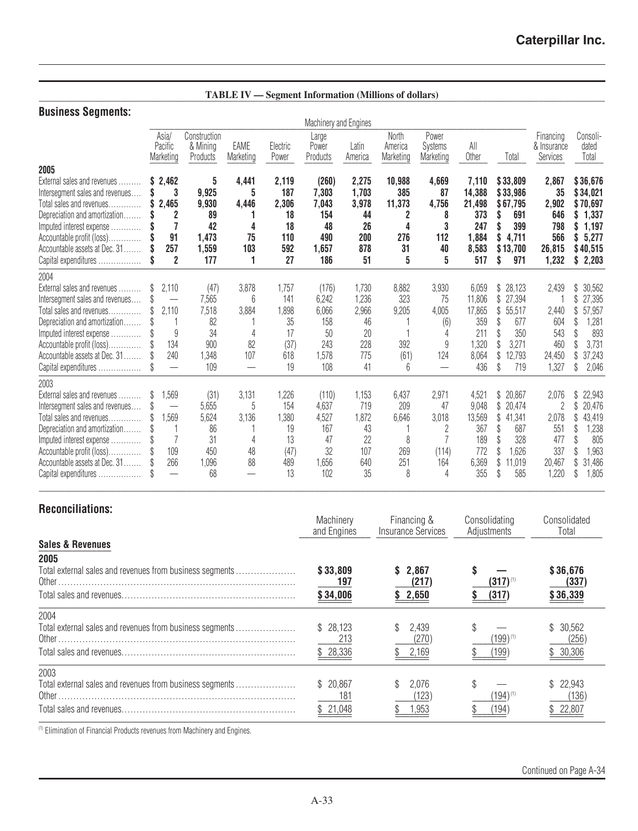**\_\_\_\_\_\_\_\_\_\_\_\_\_\_\_\_\_\_\_\_\_\_\_\_\_\_\_\_\_\_\_\_\_\_\_\_\_\_\_\_\_\_\_\_\_\_\_\_\_\_\_\_\_\_\_\_\_\_\_\_\_\_\_\_\_\_\_\_\_\_\_\_\_\_\_\_\_\_\_\_\_\_\_\_\_\_\_\_\_\_\_\_\_\_\_\_\_\_\_\_\_\_\_\_\_\_\_\_\_\_\_ TABLE IV — Segment Information (Millions of dollars)**

## **Business Segments:**

|                                                                                                                                                                                                                                                            |         |                                                          |                                                           |                                                   |                                                        | Machinery and Engines                                       |                                                         |                                                |                                                                          |                                                                  |                                                                                                              |                                                                          |                                                                                                                   |
|------------------------------------------------------------------------------------------------------------------------------------------------------------------------------------------------------------------------------------------------------------|---------|----------------------------------------------------------|-----------------------------------------------------------|---------------------------------------------------|--------------------------------------------------------|-------------------------------------------------------------|---------------------------------------------------------|------------------------------------------------|--------------------------------------------------------------------------|------------------------------------------------------------------|--------------------------------------------------------------------------------------------------------------|--------------------------------------------------------------------------|-------------------------------------------------------------------------------------------------------------------|
|                                                                                                                                                                                                                                                            |         | Asia/<br>Pacific<br>Marketing                            | Construction<br>& Mining<br>Products                      | EAME<br>Marketing                                 | Electric<br>Power                                      | Large<br>Power<br>Products                                  | Latin<br>America                                        | North<br>America<br>Marketing                  | Power<br>Systems<br>Marketing                                            | All<br>Other                                                     | Total                                                                                                        | Financing<br>& Insurance<br>Services                                     | Consoli-<br>dated<br>Total                                                                                        |
| 2005<br>External sales and revenues<br>Intersegment sales and revenues<br>Total sales and revenues<br>.<br>Depreciation and amortization<br>Imputed interest expense<br>Accountable profit (loss)<br>Accountable assets at Dec. 31<br>Capital expenditures | S<br>\$ | 2,462<br>3<br>2.465<br>91<br>257<br>2                    | 5<br>9,925<br>9,930<br>89<br>42<br>1,473<br>1,559<br>177  | 4,441<br>5<br>4,446<br>4<br>75<br>103<br>1        | 2,119<br>187<br>2,306<br>18<br>18<br>110<br>592<br>27  | (260)<br>7.303<br>7,043<br>154<br>48<br>490<br>1,657<br>186 | 2,275<br>1,703<br>3,978<br>44<br>26<br>200<br>878<br>51 | 10,988<br>385<br>11,373<br>4<br>276<br>31<br>5 | 4,669<br>87<br>4,756<br>8<br>3<br>112<br>40<br>5                         | 7,110<br>14,388<br>21,498<br>373<br>247<br>1,884<br>8,583<br>517 | \$33,809<br>\$33,986<br>\$67.795<br>691<br>399<br>4,711<br>\$13,700<br>971<br>S                              | 2,867<br>35<br>2,902<br>646<br>798<br>566<br>26,815<br>1,232             | \$36,676<br>\$34,021<br>\$70,697<br>1,337<br>S<br>1,197<br>\$<br>5,277<br>\$<br>\$40,515<br>\$<br>2,203           |
| 2004<br>External sales and revenues<br>Intersegment sales and revenues<br>Total sales and revenues<br>Depreciation and amortization<br>Imputed interest expense<br>Accountable profit (loss)<br>Accountable assets at Dec. 31<br>Capital expenditures      | \$.     | 2,110<br>2,110<br>9<br>134<br>240<br>$\equiv$            | (47)<br>7,565<br>7,518<br>82<br>34<br>900<br>1,348<br>109 | 3,878<br>6<br>3,884<br>4<br>82<br>107<br>$\equiv$ | 1,757<br>141<br>1,898<br>35<br>17<br>(37)<br>618<br>19 | (176)<br>6,242<br>6,066<br>158<br>50<br>243<br>1,578<br>108 | 1,730<br>1,236<br>2,966<br>46<br>20<br>228<br>775<br>41 | 8,882<br>323<br>9,205<br>392<br>(61)<br>6      | 3,930<br>75<br>4,005<br>(6)<br>4<br>9<br>124<br>$\overline{\phantom{0}}$ | 6,059<br>11,806<br>17,865<br>359<br>211<br>1,320<br>8,064<br>436 | 28,123<br>\$<br>27,394<br>\$<br>55,517<br>\$<br>677<br>\$<br>350<br>3,271<br>12,793<br>\$<br>719<br>\$       | 2,439<br>2,440<br>604<br>543<br>460<br>24,450<br>1,327                   | 30,562<br>\$<br>27,395<br>\$<br>\$<br>57,957<br>1,281<br>\$<br>\$.<br>893<br>3,731<br>\$<br>37,243<br>2,046<br>\$ |
| 2003<br>External sales and revenues<br>Intersegment sales and revenues<br>Total sales and revenues<br>Depreciation and amortization<br>Imputed interest expense<br>Accountable profit (loss)<br>Accountable assets at Dec. 31<br>Capital expenditures      | \$<br>S | 1,569<br>1,569<br>109<br>266<br>$\overline{\phantom{0}}$ | (31)<br>5,655<br>5,624<br>86<br>31<br>450<br>1,096<br>68  | 3,131<br>5<br>3,136<br>4<br>48<br>88              | 1,226<br>154<br>1,380<br>19<br>13<br>(47)<br>489<br>13 | (110)<br>4,637<br>4,527<br>167<br>47<br>32<br>1,656<br>102  | 1,153<br>719<br>1,872<br>43<br>22<br>107<br>640<br>35   | 6,437<br>209<br>6,646<br>8<br>269<br>251<br>8  | 2,971<br>47<br>3,018<br>2<br>(114)<br>164<br>4                           | 4,521<br>9,048<br>13,569<br>367<br>189<br>772<br>6,369<br>355    | 20,867<br>\$<br>\$<br>20,474<br>\$<br>41,341<br>687<br>\$<br>328<br>1,626<br>\$<br>\$<br>11,019<br>585<br>ß. | 2,076<br>$\overline{2}$<br>2,078<br>551<br>477<br>337<br>20,467<br>1,220 | \$<br>22,943<br>\$<br>20,476<br>\$<br>43,419<br>1,238<br>\$<br>805<br>\$<br>1,963<br>31,486<br>\$<br>\$<br>1,805  |

## **Reconciliations:**

|                                                          | Machinery<br>and Engines | Financing &<br>Insurance Services | Consolidating<br>Adjustments | Consolidated<br>Total |
|----------------------------------------------------------|--------------------------|-----------------------------------|------------------------------|-----------------------|
| <b>Sales &amp; Revenues</b>                              |                          |                                   |                              |                       |
| 2005                                                     |                          |                                   |                              |                       |
| Total external sales and revenues from business segments | \$33,809<br>197          | 2.867<br>(217)                    | $(317)^{(1)}$                | \$36,676<br>(337)     |
|                                                          | \$34,006                 | 2,650                             | (317)                        | \$36,339              |
| 2004                                                     |                          |                                   |                              |                       |
| Total external sales and revenues from business segments | \$28.123<br>213          | 2.439<br>(270)                    | (199)(1)                     | \$30,562<br>(256)     |
|                                                          | \$28,336                 | 2,169                             | 199)                         | \$30,306              |
| 2003                                                     |                          |                                   |                              |                       |
| Total external sales and revenues from business segments | \$20.867<br>181          | 2.076<br>(123)                    | (194)(1)                     | \$22,943<br>(136)     |
|                                                          | \$21,048                 | 1,953                             | 194                          | 22,807                |

(1) Elimination of Financial Products revenues from Machinery and Engines.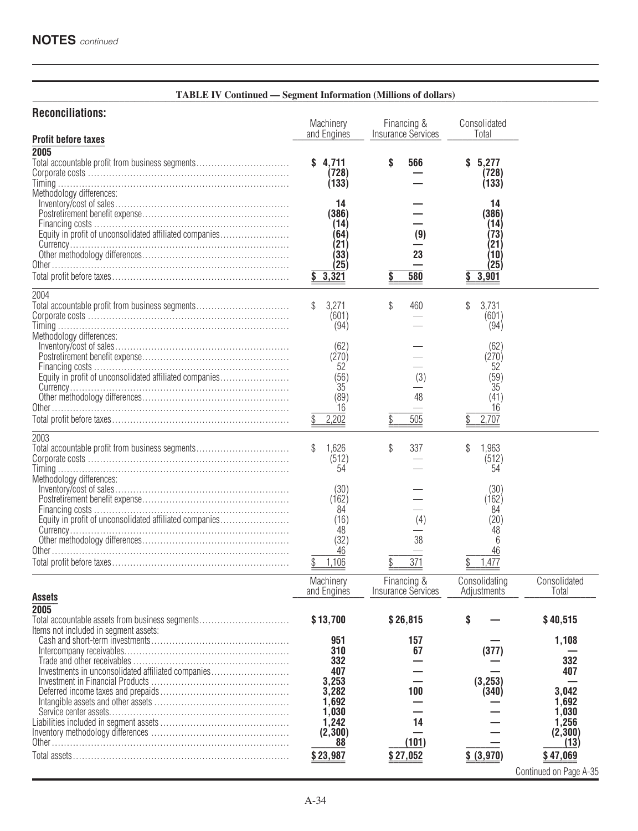#### **\_\_\_\_\_\_\_\_\_\_\_\_\_\_\_\_\_\_\_\_\_\_\_\_\_\_\_\_\_\_\_\_\_\_\_\_\_\_\_\_\_\_\_\_\_\_\_\_\_\_\_\_\_\_\_\_\_\_\_\_\_\_\_\_\_\_\_\_\_\_\_\_\_\_\_\_\_\_\_\_\_\_\_\_\_\_\_\_\_\_\_\_\_\_\_\_\_\_\_\_\_\_\_\_\_\_\_\_\_\_\_ TABLE IV Continued — Segment Information (Millions of dollars)**

## **Reconciliations:**

|                                                                                          | Machinery<br>and Engines                                           | Financing &<br>Insurance Services        | Consolidated<br>Total                                            |                                    |
|------------------------------------------------------------------------------------------|--------------------------------------------------------------------|------------------------------------------|------------------------------------------------------------------|------------------------------------|
| <b>Profit before taxes</b>                                                               |                                                                    |                                          |                                                                  |                                    |
| 2005<br>Total accountable profit from business segments                                  | 4.711<br>(728)<br>(133)                                            | \$<br>566                                | 5.277<br>S<br>(728)<br>(133)                                     |                                    |
| Methodology differences:<br>Equity in profit of unconsolidated affiliated companies      | 14<br>(386)<br>(14)<br>(64)<br>(21)<br>(33)<br>(25)<br>3,321<br>S. | (9)<br>23<br>580<br>\$                   | 14<br>(386)<br>(14)<br>(73<br>(21<br>(10)<br>(25)<br>3,901<br>\$ |                                    |
|                                                                                          |                                                                    |                                          |                                                                  |                                    |
| 2004<br>Total accountable profit from business segments                                  | 3,271<br>(601)<br>(94)                                             | \$<br>460                                | \$<br>3,731<br>(601)<br>(94)                                     |                                    |
| Methodology differences:                                                                 | (62)<br>(270)<br>52                                                |                                          | (62)<br>(270)<br>52                                              |                                    |
| Equity in profit of unconsolidated affiliated companies                                  | (56)<br>35<br>(89)<br>16                                           | (3)<br>48                                | (59)<br>35<br>(41)<br>16                                         |                                    |
|                                                                                          | 2,202                                                              | 505                                      | 2,707                                                            |                                    |
| 2003<br>Total accountable profit from business segments<br>Methodology differences:      | 1,626<br>(512)<br>54                                               | \$<br>337                                | 1.963<br>\$<br>(512)<br>54                                       |                                    |
| Equity in profit of unconsolidated affiliated companies                                  | (30)<br>(162)<br>84<br>(16)                                        | (4)                                      | (30)<br>(162)<br>84<br>(20)                                      |                                    |
|                                                                                          | 48<br>(32)<br>46<br>1,106                                          | 38<br>$\overline{371}$                   | 48<br>6<br>46<br>1,477                                           |                                    |
|                                                                                          |                                                                    |                                          |                                                                  |                                    |
| <b>Assets</b>                                                                            | Machinery<br>and Engines                                           | Financing &<br><b>Insurance Services</b> | Consolidating<br>Adjustments                                     | Consolidated<br>Total              |
| 2005                                                                                     |                                                                    |                                          | S                                                                |                                    |
| Total accountable assets from business segments<br>Items not included in segment assets: | \$13,700                                                           | \$26,815                                 |                                                                  | \$40,515                           |
|                                                                                          | 951<br>310                                                         | 157<br>67                                | (377)                                                            | 1,108                              |
|                                                                                          | 332                                                                |                                          |                                                                  | 332                                |
| Investments in unconsolidated affiliated companies                                       | 407<br>3,253                                                       |                                          | (3, 253)                                                         | 407                                |
|                                                                                          | 3,282                                                              | 100                                      | (340)                                                            | 3,042                              |
|                                                                                          | 1,692<br>1,030                                                     |                                          |                                                                  | 1,692<br>1,030                     |
|                                                                                          | 1,242                                                              | 14                                       |                                                                  | 1,256                              |
|                                                                                          | (2, 300)<br>88                                                     | (101)                                    |                                                                  | (2, 300)<br>(13)                   |
|                                                                                          | \$23,987                                                           | \$27,052                                 | \$ (3,970)                                                       | \$47,069<br>Continued on Page A-35 |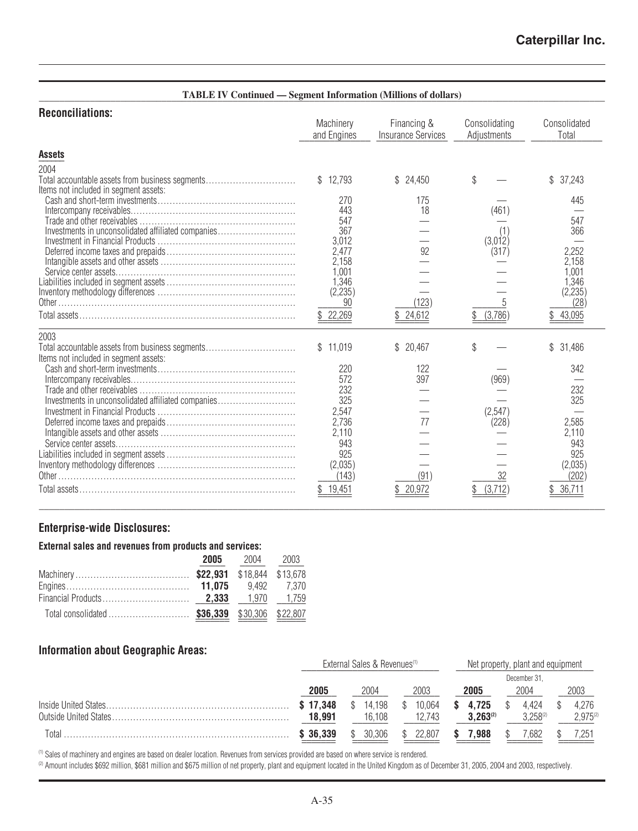| <b>TABLE IV Continued — Segment Information (Millions of dollars)</b>                            |                                             |                                          |                              |                                              |
|--------------------------------------------------------------------------------------------------|---------------------------------------------|------------------------------------------|------------------------------|----------------------------------------------|
| <b>Reconciliations:</b>                                                                          | Machinery<br>and Engines                    | Financing &<br><b>Insurance Services</b> | Consolidating<br>Adjustments | Consolidated<br>Total                        |
| <b>Assets</b>                                                                                    |                                             |                                          |                              |                                              |
| 2004<br>Total accountable assets from business segments<br>Items not included in segment assets: | \$12,793                                    | \$<br>24,450                             | \$                           | \$<br>37,243                                 |
| Investments in unconsolidated affiliated companies                                               | 270<br>443<br>547<br>367<br>3,012           | 175<br>18                                | (461)<br>(1<br>(3,012)       | 445<br>547<br>366                            |
| Service center assets                                                                            | 2,477<br>2,158<br>1.001<br>1,346<br>(2,235) | 92                                       | (317)                        | 2,252<br>2,158<br>1.001<br>1,346<br>(2, 235) |
|                                                                                                  | 90<br>\$22,269                              | (123)<br>24,612                          | 5<br>(3,786)<br>\$           | (28)<br>43,095                               |
| 2003<br>Total accountable assets from business segments<br>Items not included in segment assets: | \$11,019                                    | 20,467<br>\$                             | \$                           | 31,486                                       |
| Investments in unconsolidated affiliated companies                                               | 220<br>572<br>232<br>325                    | 122<br>397                               | (969)                        | 342<br>232<br>325                            |
|                                                                                                  | 2,547<br>2,736<br>2,110                     | 77                                       | (2,547)<br>(228)             | 2,585<br>2,110                               |
| Service center assets                                                                            | 943<br>925<br>(2,035)<br>(143)              | (91)                                     | 32                           | 943<br>925<br>(2,035)<br>(202                |
|                                                                                                  | 19,451                                      | 20,972<br>\$                             | (3,712)                      | 36,711                                       |

## **Enterprise-wide Disclosures:**

## **External sales and revenues from products and services:**

| 2005 | 2004 2003 |  |
|------|-----------|--|
|      |           |  |
|      |           |  |
|      |           |  |
|      |           |  |

## **Information about Geographic Areas:**

|       |          | External Sales & Revenues <sup>(1)</sup> |        | Net property, plant and equipment |               |               |  |  |
|-------|----------|------------------------------------------|--------|-----------------------------------|---------------|---------------|--|--|
|       |          |                                          |        |                                   | December 31.  |               |  |  |
|       | 2005     | 2004                                     | 2003   | 2005                              | 2003          |               |  |  |
|       | \$17.348 | 14.198                                   | 10.064 | 4.725                             | 4.424         | 4.276         |  |  |
|       | 18.991   | 16.108                                   | 12.743 | $3.263^{(2)}$                     | $3.258^{(2)}$ | $2,975^{(2)}$ |  |  |
| Total | \$36.339 | 30.306                                   | 22.807 | .988                              | 1.682         |               |  |  |

**\_\_\_\_\_\_\_\_\_\_\_\_\_\_\_\_\_\_\_\_\_\_\_\_\_\_\_\_\_\_\_\_\_\_\_\_\_\_\_\_\_\_\_\_\_\_\_\_\_\_\_\_\_\_\_\_\_\_\_\_\_\_\_\_\_\_\_\_\_\_\_\_\_\_\_\_\_\_\_\_\_\_\_\_\_\_\_\_\_\_\_\_\_\_\_\_\_\_\_\_\_\_\_\_\_\_\_\_\_\_\_**

(1) Sales of machinery and engines are based on dealer location. Revenues from services provided are based on where service is rendered.

<sup>(2)</sup> Amount includes \$692 million, \$681 million and \$675 million of net property, plant and equipment located in the United Kingdom as of December 31, 2005, 2004 and 2003, respectively.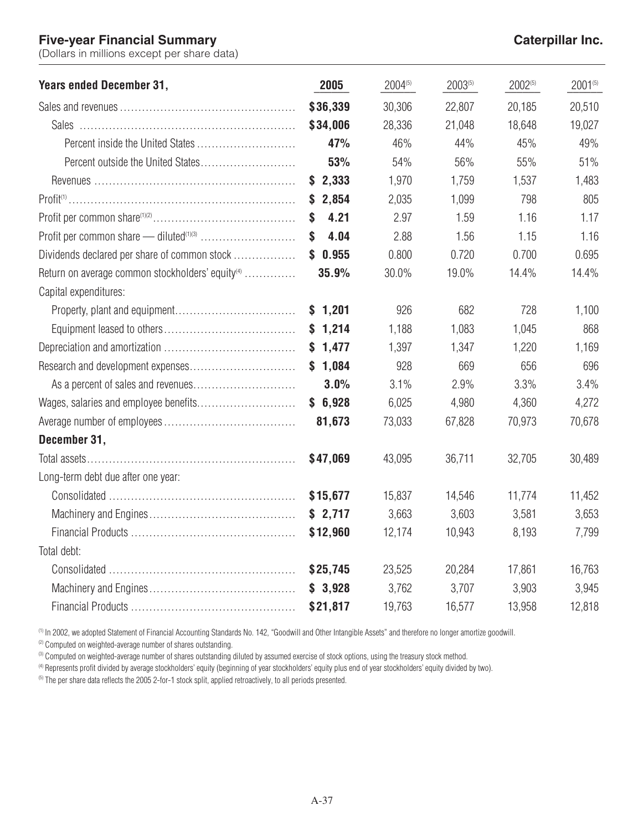## **Five-year Financial Summary Caterpillar Inc.**

(Dollars in millions except per share data)

| <b>Years ended December 31,</b>                              | 2005       | 2004(5) | 2003(5) | 2002(5) | 2001(5) |
|--------------------------------------------------------------|------------|---------|---------|---------|---------|
|                                                              | \$36,339   | 30,306  | 22,807  | 20,185  | 20,510  |
|                                                              | \$34,006   | 28,336  | 21,048  | 18,648  | 19,027  |
|                                                              | 47%        | 46%     | 44%     | 45%     | 49%     |
|                                                              | 53%        | 54%     | 56%     | 55%     | 51%     |
|                                                              | \$2,333    | 1,970   | 1,759   | 1,537   | 1,483   |
|                                                              | \$2,854    | 2,035   | 1,099   | 798     | 805     |
|                                                              | 4.21<br>\$ | 2.97    | 1.59    | 1.16    | 1.17    |
|                                                              | 4.04<br>\$ | 2.88    | 1.56    | 1.15    | 1.16    |
| Dividends declared per share of common stock                 | \$0.955    | 0.800   | 0.720   | 0.700   | 0.695   |
| Return on average common stockholders' equity <sup>(4)</sup> | 35.9%      | 30.0%   | 19.0%   | 14.4%   | 14.4%   |
| Capital expenditures:                                        |            |         |         |         |         |
|                                                              | \$1,201    | 926     | 682     | 728     | 1,100   |
|                                                              | \$1,214    | 1,188   | 1,083   | 1,045   | 868     |
|                                                              | \$1,477    | 1,397   | 1,347   | 1,220   | 1,169   |
|                                                              | \$1,084    | 928     | 669     | 656     | 696     |
|                                                              | 3.0%       | 3.1%    | 2.9%    | 3.3%    | 3.4%    |
|                                                              | \$6,928    | 6,025   | 4,980   | 4,360   | 4,272   |
|                                                              | 81,673     | 73,033  | 67,828  | 70,973  | 70,678  |
| December 31,                                                 |            |         |         |         |         |
|                                                              | \$47,069   | 43,095  | 36,711  | 32,705  | 30,489  |
| Long-term debt due after one year:                           |            |         |         |         |         |
|                                                              | \$15,677   | 15,837  | 14,546  | 11,774  | 11,452  |
|                                                              | \$2,717    | 3,663   | 3,603   | 3,581   | 3,653   |
|                                                              | \$12,960   | 12,174  | 10,943  | 8,193   | 7,799   |
| Total debt:                                                  |            |         |         |         |         |
|                                                              | \$25,745   | 23,525  | 20,284  | 17,861  | 16,763  |
|                                                              | \$3,928    | 3,762   | 3,707   | 3,903   | 3,945   |
|                                                              | \$21,817   | 19,763  | 16,577  | 13,958  | 12,818  |

(1) In 2002, we adopted Statement of Financial Accounting Standards No. 142, "Goodwill and Other Intangible Assets" and therefore no longer amortize goodwill.

<sup>(2)</sup> Computed on weighted-average number of shares outstanding.

(3) Computed on weighted-average number of shares outstanding diluted by assumed exercise of stock options, using the treasury stock method.

<sup>(4)</sup> Represents profit divided by average stockholders' equity (beginning of year stockholders' equity plus end of year stockholders' equity divided by two).

<sup>(5)</sup> The per share data reflects the 2005 2-for-1 stock split, applied retroactively, to all periods presented.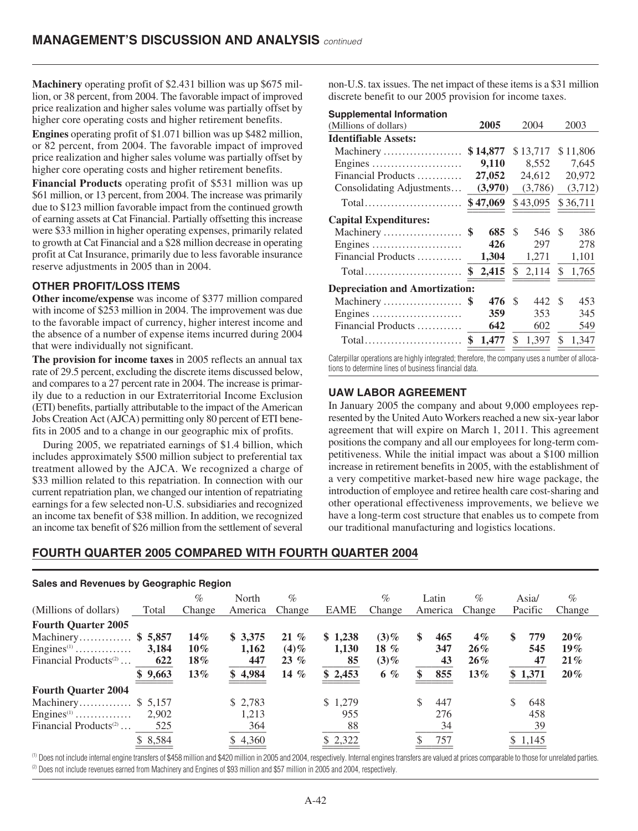**Machinery** operating profit of \$2.431 billion was up \$675 million, or 38 percent, from 2004. The favorable impact of improved price realization and higher sales volume was partially offset by higher core operating costs and higher retirement benefits.

**Engines** operating profit of \$1.071 billion was up \$482 million, or 82 percent, from 2004. The favorable impact of improved price realization and higher sales volume was partially offset by higher core operating costs and higher retirement benefits.

**Financial Products** operating profit of \$531 million was up \$61 million, or 13 percent, from 2004. The increase was primarily due to \$123 million favorable impact from the continued growth of earning assets at Cat Financial. Partially offsetting this increase were \$33 million in higher operating expenses, primarily related to growth at Cat Financial and a \$28 million decrease in operating profit at Cat Insurance, primarily due to less favorable insurance reserve adjustments in 2005 than in 2004.

#### **OTHER PROFIT/LOSS ITEMS**

**Other income/expense** was income of \$377 million compared with income of \$253 million in 2004. The improvement was due to the favorable impact of currency, higher interest income and the absence of a number of expense items incurred during 2004 that were individually not significant.

**The provision for income taxes** in 2005 reflects an annual tax rate of 29.5 percent, excluding the discrete items discussed below, and compares to a 27 percent rate in 2004. The increase is primarily due to a reduction in our Extraterritorial Income Exclusion (ETI) benefits, partially attributable to the impact of the American Jobs Creation Act (AJCA) permitting only 80 percent of ETI benefits in 2005 and to a change in our geographic mix of profits.

During 2005, we repatriated earnings of \$1.4 billion, which includes approximately \$500 million subject to preferential tax treatment allowed by the AJCA. We recognized a charge of \$33 million related to this repatriation. In connection with our current repatriation plan, we changed our intention of repatriating earnings for a few selected non-U.S. subsidiaries and recognized an income tax benefit of \$38 million. In addition, we recognized an income tax benefit of \$26 million from the settlement of several

non-U.S. tax issues. The net impact of these items is a \$31 million discrete benefit to our 2005 provision for income taxes.

#### **Supplemental Information**

| (Millions of dollars)                                   | 2005        |    | 2004     |    | 2003     |
|---------------------------------------------------------|-------------|----|----------|----|----------|
| <b>Identifiable Assets:</b>                             |             |    |          |    |          |
| Machinery                                               | \$14,877    |    | \$13,717 |    | \$11,806 |
| Engines                                                 | 9,110       |    | 8,552    |    | 7,645    |
| Financial Products                                      | 27,052      |    | 24,612   |    | 20,972   |
| Consolidating Adjustments                               | (3,970)     |    | (3,786)  |    | (3,712)  |
| $Total$                                                 | \$47,069    |    | \$43,095 |    | \$36,711 |
| <b>Capital Expenditures:</b>                            |             |    |          |    |          |
| Machinery                                               | \$<br>685   | S  | 546      | S  | 386      |
| Engines                                                 | 426         |    | 297      |    | 278      |
| Financial Products                                      | 1,304       |    | 1,271    |    | 1,101    |
| Total                                                   | \$<br>2,415 | \$ | 2,114    | \$ | 1,765    |
| <b>Depreciation and Amortization:</b>                   |             |    |          |    |          |
|                                                         | 476         | S  | 442      | \$ | 453      |
| Engines                                                 | 359         |    | 353      |    | 345      |
| Financial Products                                      | 642         |    | 602      |    | 549      |
| $Total \dots \dots \dots \dots \dots \dots \dots \dots$ | \$<br>1,477 | \$ | 1,397    | \$ | 1,347    |
|                                                         |             |    |          |    |          |

Caterpillar operations are highly integrated; therefore, the company uses a number of allocations to determine lines of business financial data.

#### **UAW LABOR AGREEMENT**

In January 2005 the company and about 9,000 employees represented by the United Auto Workers reached a new six-year labor agreement that will expire on March 1, 2011. This agreement positions the company and all our employees for long-term competitiveness. While the initial impact was about a \$100 million increase in retirement benefits in 2005, with the establishment of a very competitive market-based new hire wage package, the introduction of employee and retiree health care cost-sharing and other operational effectiveness improvements, we believe we have a long-term cost structure that enables us to compete from our traditional manufacturing and logistics locations.

## **FOURTH QUARTER 2005 COMPARED WITH FOURTH QUARTER 2004**

| Sales and Revenues by Geographic Region |          |        |         |         |             |         |          |        |            |        |
|-----------------------------------------|----------|--------|---------|---------|-------------|---------|----------|--------|------------|--------|
|                                         |          | $\%$   | North   | $\%$    |             | $\%$    | Latin    | $\%$   | Asia/      | $\%$   |
| (Millions of dollars)                   | Total    | Change | America | Change  | <b>EAME</b> | Change  | America  | Change | Pacific    | Change |
| <b>Fourth Quarter 2005</b>              |          |        |         |         |             |         |          |        |            |        |
| Machinery \$5,857                       |          | $14\%$ | \$3,375 | $21 \%$ | \$1,238     | $(3)\%$ | 465<br>S | $4\%$  | 779<br>\$. | $20\%$ |
| Engines <sup><math>(1)</math></sup>     | 3.184    | $10\%$ | 1,162   | $(4)\%$ | 1,130       | 18 $%$  | 347      | $26\%$ | 545        | $19\%$ |
| Financial Products <sup>(2)</sup>       | 622      | $18\%$ | 447     | $23\%$  | 85          | $(3)\%$ | 43       | $26\%$ | 47         | 21%    |
|                                         | \$9,663  | $13\%$ | \$4,984 | 14 $%$  | \$2,453     | $6\%$   | 855      | $13\%$ | \$1,371    | $20\%$ |
| <b>Fourth Quarter 2004</b>              |          |        |         |         |             |         |          |        |            |        |
| Machinery \$ 5,157                      |          |        | \$2.783 |         | \$1,279     |         | 447      |        | \$<br>648  |        |
| Engines <sup>(1)</sup>                  | 2,902    |        | 1,213   |         | 955         |         | 276      |        | 458        |        |
| Financial Products <sup>(2)</sup>       | 525      |        | 364     |         | 88          |         | 34       |        | 39         |        |
|                                         | \$ 8,584 |        | 4,360   |         | \$2,322     |         | 757      |        | \$1,145    |        |

(1) Does not include internal engine transfers of \$458 million and \$420 million in 2005 and 2004, respectively. Internal engines transfers are valued at prices comparable to those for unrelated parties. <sup>(2)</sup> Does not include revenues earned from Machinery and Engines of \$93 million and \$57 million in 2005 and 2004, respectively.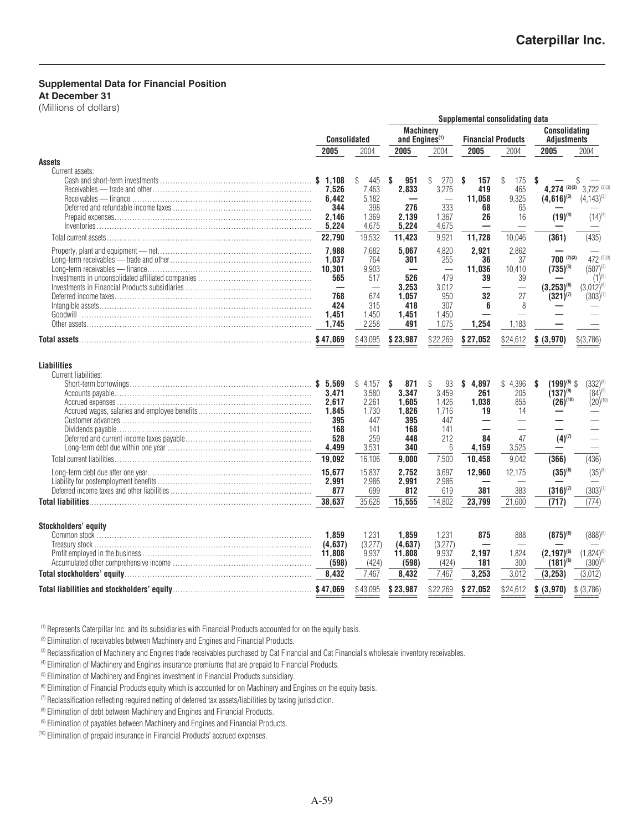## **Supplemental Data for Financial Position**

**At December 31**

(Millions of dollars)

|                                            |                                                                                             |                                                                                | Supplemental consolidating data                                          |                                                                                          |                                                            |                                                         |                                                                                  |                                                                                |
|--------------------------------------------|---------------------------------------------------------------------------------------------|--------------------------------------------------------------------------------|--------------------------------------------------------------------------|------------------------------------------------------------------------------------------|------------------------------------------------------------|---------------------------------------------------------|----------------------------------------------------------------------------------|--------------------------------------------------------------------------------|
|                                            | <b>Consolidated</b>                                                                         |                                                                                | <b>Machinery</b><br>and Engines <sup>(1)</sup>                           |                                                                                          | <b>Financial Products</b>                                  |                                                         | Consolidating<br><b>Adjustments</b>                                              |                                                                                |
|                                            | 2005                                                                                        | 2004                                                                           | 2005                                                                     | 2004                                                                                     | 2005                                                       | 2004                                                    | 2005                                                                             | 2004                                                                           |
| <b>Assets</b>                              |                                                                                             |                                                                                |                                                                          |                                                                                          |                                                            |                                                         |                                                                                  |                                                                                |
| Current assets:                            | \$1.108<br>7.526<br>6,442<br>344<br>2.146<br>5,224                                          | \$<br>445<br>7.463<br>5.182<br>398<br>1.369<br>4,675                           | 951<br>S<br>2.833<br>276<br>2.139<br>5,224                               | \$<br>270<br>3.276<br>333<br>1,367<br>4,675                                              | S<br>157<br>419<br>11.058<br>68<br>26                      | \$<br>175<br>465<br>9,325<br>65<br>16                   | S<br>4,274 $(2)(3)$<br>$(4,616)^{(3)}$<br>$(19)^{(4)}$                           | $3722^{(2)(3)}$<br>$(4,143)^{(3)}$<br>$(14)^{(4)}$                             |
|                                            | 22,790                                                                                      | 19,532                                                                         | 11,423                                                                   | 9,921                                                                                    | 11,728                                                     | 10,046                                                  | (361)                                                                            | (435)                                                                          |
|                                            | 7.988<br>1,037<br>10,301<br>565<br>$\overline{\phantom{0}}$<br>768<br>424<br>1.451<br>1,745 | 7.682<br>764<br>9.903<br>517<br>$\frac{1}{2}$<br>674<br>315<br>1.450<br>2,258  | 5.067<br>301<br>526<br>3,253<br>1.057<br>418<br>1,451<br>491             | 4,820<br>255<br>$\overline{\phantom{a}}$<br>479<br>3.012<br>950<br>307<br>1,450<br>1,075 | 2.921<br>36<br>11.036<br>39<br>—<br>32<br>6<br>÷.<br>1,254 | 2.862<br>37<br>10.410<br>39<br>27<br>8<br>1,183         | $700^{(2)(3)}$<br>$(735)^{(3)}$<br>$(3,253)^{(6)}$<br>$(321)^{(7)}$              | 472 (2)(3)<br>$(507)^{(3)}$<br>$(1)^{(5)}$<br>$(3,012)^{(6)}$<br>$(303)^{(7)}$ |
|                                            |                                                                                             | \$43,095                                                                       | \$23,987                                                                 | \$22,269                                                                                 | \$27,052                                                   | \$24,612                                                | \$ (3,970)                                                                       | \$(3,786)                                                                      |
| <b>Liabilities</b><br>Current liabilities: | 3.471<br>2.617<br>1,845<br>395<br>168<br>528<br>4,499<br>19.092                             | \$<br>4,157<br>3,580<br>2.261<br>1,730<br>447<br>141<br>259<br>3,531<br>16,106 | 871<br>S<br>3.347<br>1.605<br>1,826<br>395<br>168<br>448<br>340<br>9,000 | \$<br>93<br>3,459<br>1.426<br>1.716<br>447<br>141<br>212<br>6<br>7,500                   | 4,897<br>\$<br>261<br>1.038<br>19<br>84<br>4,159<br>10,458 | \$<br>4,396<br>205<br>855<br>14<br>47<br>3,525<br>9,042 | $(199)^{(8)}$ \$<br>\$<br>$(137)^{(9)}$<br>$(26)^{(10)}$<br>$(4)^{(7)}$<br>(366) | $(332)^{(8)}$<br>$(84)^{(9)}$<br>$(20)^{(10)}$<br>(436)                        |
|                                            | 15.677<br>2.991<br>877                                                                      | 15,837<br>2,986<br>699                                                         | 2,752<br>2.991<br>812                                                    | 3,697<br>2,986<br>619                                                                    | 12,960<br>381                                              | 12,175<br>383                                           | $(35)^{(8)}$<br>$(316)^{(7)}$                                                    | $(35)^{(8)}$<br>$(303)^{(7)}$                                                  |
|                                            | 38,637                                                                                      | 35,628                                                                         | 15,555                                                                   | 14,802                                                                                   | 23,799                                                     | 21,600                                                  | (717)                                                                            | (774)                                                                          |
| Stockholders' equity                       | 1.859<br>(4.637)<br>(598)                                                                   | 1.231<br>(3,277)<br>9,937<br>(424)                                             | 1,859<br>(4,637)<br>11,808<br>(598)                                      | 1,231<br>(3,277)<br>9,937<br>(424)                                                       | 875<br>2,197<br>181                                        | 888<br>1,824<br>300                                     | $(875)^{(6)}$<br>$(2.197)^{(6)}$<br>$(181)^{(6)}$                                | $(888)^{(6)}$<br>$(1,824)^{(6)}$<br>$(300)^{(6)}$                              |
|                                            | 8,432                                                                                       | 7,467                                                                          | 8,432                                                                    | 7,467                                                                                    | 3,253                                                      | 3,012                                                   | (3, 253)                                                                         | (3,012)                                                                        |
|                                            |                                                                                             | \$43,095                                                                       | \$23,987                                                                 | \$22,269                                                                                 | \$27,052                                                   | \$24,612                                                | \$ (3,970)                                                                       | \$ (3,786)                                                                     |

(1) Represents Caterpillar Inc. and its subsidiaries with Financial Products accounted for on the equity basis.

<sup>(2)</sup> Elimination of receivables between Machinery and Engines and Financial Products.

(3) Reclassification of Machinery and Engines trade receivables purchased by Cat Financial and Cat Financial's wholesale inventory receivables.

(4) Elimination of Machinery and Engines insurance premiums that are prepaid to Financial Products.

<sup>(5)</sup> Elimination of Machinery and Engines investment in Financial Products subsidiary.

<sup>(6)</sup> Elimination of Financial Products equity which is accounted for on Machinery and Engines on the equity basis.

 $(7)$  Reclassification reflecting required netting of deferred tax assets/liabilities by taxing jurisdiction.

<sup>(8)</sup> Elimination of debt between Machinery and Engines and Financial Products.

(9) Elimination of payables between Machinery and Engines and Financial Products.

(10) Elimination of prepaid insurance in Financial Products' accrued expenses.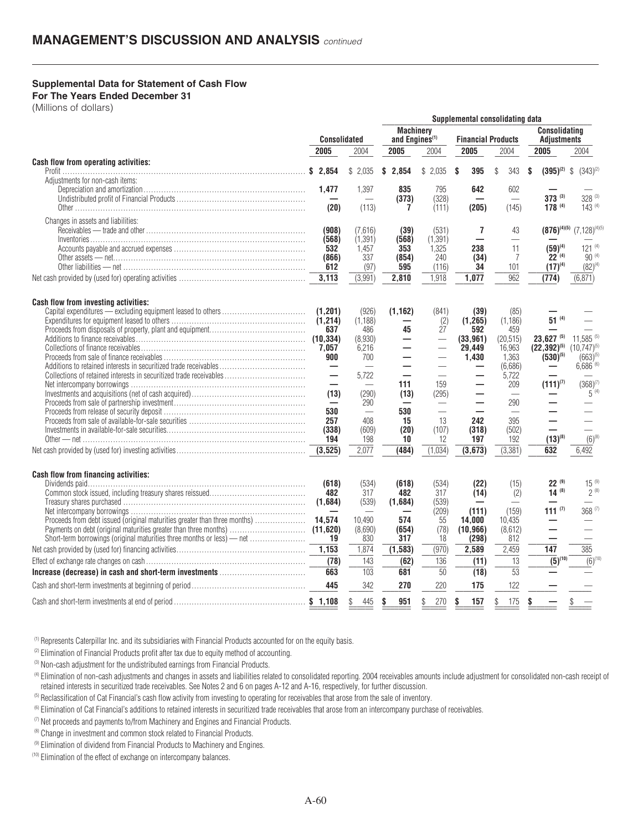#### **Supplemental Data for Statement of Cash Flow**

**For The Years Ended December 31**

(Millions of dollars)

|                                                                        |                     |                    |                                                |                                |                           | Suppremental Consolidating uata |                                            |                               |  |
|------------------------------------------------------------------------|---------------------|--------------------|------------------------------------------------|--------------------------------|---------------------------|---------------------------------|--------------------------------------------|-------------------------------|--|
|                                                                        | <b>Consolidated</b> |                    | <b>Machinery</b><br>and Engines <sup>(1)</sup> |                                | <b>Financial Products</b> |                                 | <b>Consolidating</b><br><b>Adjustments</b> |                               |  |
|                                                                        | 2005                | 2004               | 2005                                           | 2004                           | 2005                      | 2004                            | 2005                                       | 2004                          |  |
| <b>Cash flow from operating activities:</b>                            | \$2,854             | \$2,035            | \$<br>2,854                                    | \$2,035                        | \$<br>395                 | \$<br>343                       | $(395)^{(2)}$<br>\$                        | $\mathbb{S}$<br>$(343)^{(2)}$ |  |
| Adjustments for non-cash items:                                        | 1,477               | 1,397              | 835                                            | 795                            | 642                       | 602                             |                                            |                               |  |
|                                                                        |                     |                    | (373)                                          | (328)                          |                           |                                 | $373^{(3)}$                                | $328^{(3)}$                   |  |
|                                                                        | (20)                | (113)              | 7                                              | (111)                          | (205)                     | (145)                           | 178 (4)                                    | $143^{(4)}$                   |  |
| Changes in assets and liabilities:                                     |                     |                    |                                                |                                |                           |                                 |                                            |                               |  |
|                                                                        | (908)<br>(568)      | (7,616)<br>(1.391) | (39)<br>(568)                                  | (531)<br>(1, 391)              | 7                         | 43<br>$\overline{\phantom{0}}$  | $(876)^{(4)(5)}$                           | $(7,128)^{(4)(5)}$            |  |
|                                                                        | 532                 | 1,457              | 353                                            | 1,325                          | 238                       | 11                              | $(59)^{(4)}$                               | $121^{(4)}$                   |  |
|                                                                        | (866)               | 337                | (854)                                          | 240                            | (34)                      | 7                               | $22^{(4)}$                                 | $90^{(4)}$                    |  |
|                                                                        | 612<br>3,113        | (97)<br>(3,991)    | 595<br>2,810                                   | (116)<br>1,918                 | 34<br>1,077               | 101<br>962                      | $(17)^{(4)}$<br>(774)                      | $(82)^{(4)}$<br>(6, 871)      |  |
|                                                                        |                     |                    |                                                |                                |                           |                                 |                                            |                               |  |
| <b>Cash flow from investing activities:</b>                            |                     |                    |                                                |                                |                           |                                 |                                            |                               |  |
|                                                                        | (1, 201)            | (926)              | (1.162)                                        | (841)                          | (39)                      | (85)                            |                                            |                               |  |
|                                                                        | (1, 214)            | (1, 188)           |                                                | (2)                            | (1, 265)                  | (1, 186)                        | $51^{(4)}$                                 |                               |  |
|                                                                        | 637                 | 486<br>(8,930)     | 45                                             | 27<br>$\overline{\phantom{m}}$ | 592<br>(33, 961)          | 459<br>(20, 515)                | $23,627$ <sup>(5)</sup>                    | $11,585^{(5)}$                |  |
|                                                                        | 7.057               | 6,216              |                                                |                                | 29.449                    | 16,963                          | $(22, 392)^{(5)}$                          | $(10,747)^{(5)}$              |  |
|                                                                        | 900                 | 700                |                                                |                                | 1,430                     | 1.363                           | $(530)^{(5)}$                              | $(663)^{(5)}$                 |  |
| Additions to retained interests in securitized trade receivables       |                     |                    |                                                |                                | —                         | (6,686)                         |                                            | $6,686^{(6)}$                 |  |
| Collections of retained interests in securitized trade receivables     |                     | 5,722              | 111                                            | 159                            |                           | 5,722<br>209                    | $(111)^{(7)}$                              | $(368)^{(7)}$                 |  |
|                                                                        | (13)                | (290)              | (13)                                           | (295)                          |                           |                                 |                                            | $5^{(4)}$                     |  |
|                                                                        |                     | 290                |                                                |                                |                           | 290                             |                                            |                               |  |
|                                                                        | 530                 | $\frac{1}{2}$      | 530                                            |                                |                           |                                 |                                            |                               |  |
|                                                                        | 257<br>(338)        | 408                | 15<br>(20)                                     | 13<br>(107)                    | 242<br>(318)              | 395<br>(502)                    | ÷.                                         |                               |  |
|                                                                        | 194                 | (609)<br>198       | 10                                             | 12                             | 197                       | 192                             | $(13)^{(8)}$                               | $(6)^{(8)}$                   |  |
|                                                                        |                     | 2,077              | (484)                                          | (1,034)                        | (3, 673)                  | (3, 381)                        | 632                                        | 6,492                         |  |
|                                                                        |                     |                    |                                                |                                |                           |                                 |                                            |                               |  |
| <b>Cash flow from financing activities:</b>                            |                     |                    |                                                |                                |                           |                                 |                                            |                               |  |
|                                                                        | (618)<br>482        | (534)<br>317       | (618)<br>482                                   | (534)<br>317                   | (22)<br>(14)              | (15)<br>(2)                     | $22^{(9)}$<br>$14^{(8)}$                   | $15^{(9)}$<br>$2^{(8)}$       |  |
|                                                                        | (1,684)             | (539)              | (1,684)                                        | (539)                          |                           |                                 |                                            |                               |  |
|                                                                        |                     |                    |                                                | (209)                          | (111)                     | (159)                           | 111 $(7)$                                  | 368 (7)                       |  |
|                                                                        |                     | 10.490             | 574                                            | 55                             | 14,000                    | 10,435                          |                                            |                               |  |
| Short-term borrowings (original maturities three months or less) — net | 19                  | (8.690)<br>830     | (654)<br>317                                   | (78)<br>18                     | (10.966)<br>(298)         | (8,612)<br>812                  |                                            |                               |  |
|                                                                        | 1,153               | 1,874              | (1,583)                                        | (970)                          | 2,589                     | 2,459                           | 147                                        | 385                           |  |
|                                                                        | $\overline{(78)}$   | $\overline{143}$   | $\overline{(62)}$                              | 136                            | $\overline{(11)}$         | $\overline{13}$                 | $(5)^{(10)}$                               | $\overline{(6)}^{(10)}$       |  |
|                                                                        | 663                 | $\overline{103}$   | 681                                            | $\overline{50}$                | (18)                      | $\overline{53}$                 |                                            |                               |  |
|                                                                        | 445                 | 342                | 270                                            | 220                            | 175                       | 122                             |                                            |                               |  |
|                                                                        |                     | 445                | \$<br>951                                      | 270<br>\$                      | \$<br>157                 | 175<br>\$                       | S                                          |                               |  |
|                                                                        |                     |                    |                                                |                                |                           |                                 |                                            |                               |  |

**Supplemental consolidating data** \_\_\_\_\_\_\_\_\_\_\_\_\_\_\_\_\_\_\_\_\_\_\_\_\_\_\_\_\_\_\_\_\_\_\_\_\_\_\_\_\_\_\_\_\_\_\_\_\_\_

(1) Represents Caterpillar Inc. and its subsidiaries with Financial Products accounted for on the equity basis.

 $(2)$  Elimination of Financial Products profit after tax due to equity method of accounting.

(3) Non-cash adjustment for the undistributed earnings from Financial Products.

<sup>(4)</sup> Elimination of non-cash adjustments and changes in assets and liabilities related to consolidated reporting. 2004 receivables amounts include adjustment for consolidated non-cash receipt of retained interests in securitized trade receivables. See Notes 2 and 6 on pages A-12 and A-16, respectively, for further discussion.

<sup>(5)</sup> Reclassification of Cat Financial's cash flow activity from investing to operating for receivables that arose from the sale of inventory.

(6) Elimination of Cat Financial's additions to retained interests in securitized trade receivables that arose from an intercompany purchase of receivables.

 $(7)$  Net proceeds and payments to/from Machinery and Engines and Financial Products.

<sup>(8)</sup> Change in investment and common stock related to Financial Products.

(9) Elimination of dividend from Financial Products to Machinery and Engines.

(10) Elimination of the effect of exchange on intercompany balances.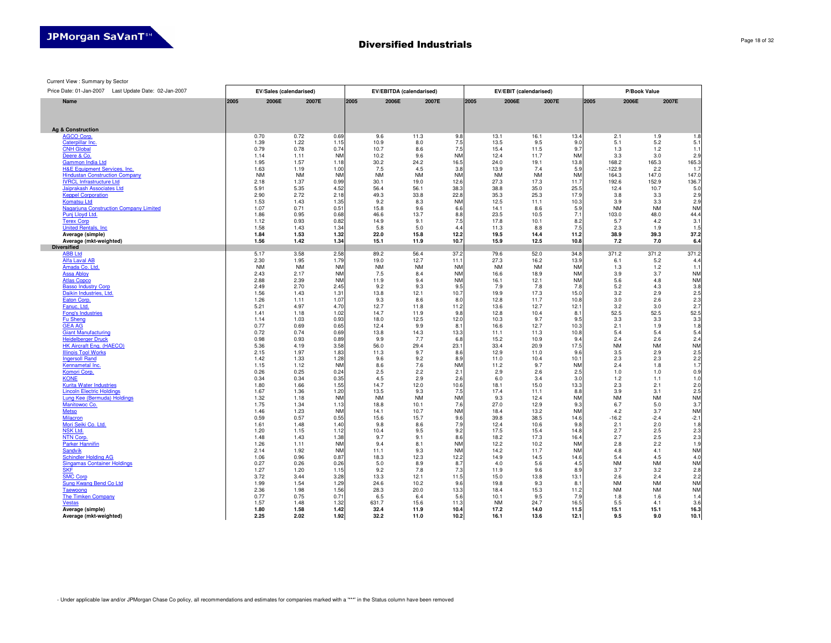9640 9640 9640 9135 9135 9135 9620 9620 9620 1425 1425 1425

Current View : Summary by Sector

Price Date: 01-Jan-2007 Last Update Date: 02-Jan-2007 **EV/Sales (calendarised) EV/EBITDA (calendarised) EV/EBIT (calendarised) P/Book Value 2007E Name2005 2006E 2007E 2005 2006E 2007E 2005 2006E 2007E 2005 2006EAg & Construction**AGCO Corp.0.70 0.72 0.69 9.6 11.3 9.8 13.1 16.1 13.4 2.1 1.9 1.8Caterpillar Inc. 1.39 1.22 1.15 10.9 8.0 7.5 13.5 9.5 9.0 5.1 5.2 5.1CNH Global $1.$ 0.79 0.78 0.74 10.7 8.6 7.5 15.4 11.5 9.7 1.3 1.2 1.1 Deere & Co. $\mathfrak{D}$ 1.14 1.11 NM 10.2 9.6 NM 12.4 11.7 NM 3.3 3.0 2.9 Gammon India Ltd165. 1.95 1.57 1.18 30.2 24.2 16.5 24.0 19.1 13.8 168.2 165.3 165.3 $1.3$  H&E Equipment Services, Inc.1.63 1.19 1.00 7.5 4.5 3.8 13.9 7.4 5.9 -122.9 2.2 1.7 $147.$ **Hindustan Construction Company** NM NM NM NM NM NM NM NM NM 164.3 147.0 147.0IVRCL Infrastructure Ltd136.7 2.18 1.37 0.99 30.1 19.0 12.6 27.3 17.3 11.7 192.6 152.9 136.7 $5.0$  Jaiprakash Associates Ltd5.91 5.35 4.52 56.4 56.1 38.3 38.8 35.0 25.5 12.4 10.7 5.0Keppel Corporation $2.9$ 2.90 2.72 2.18 49.3 33.8 22.8 35.3 25.3 17.9 3.8 3.3 2.9Komatsu Ltd $2.9$ 1.53 1.43 1.35 9.2 8.3 NM 12.5 11.1 10.3 3.9 3.3 2.9ntion Company Limited **NM** Nagariuna C 1.07 0.71 0.51 15.8 9.6 6.6 14.1 8.6 5.9 NM NM NMPunj Lloyd Ltd. $44.4$ 1.86 0.95 0.68 46.6 13.7 8.8 23.5 10.5 7.1 103.0 48.0 44.4**Terex Corp**<br>United Rentals, Inc  $3.$ 1.12 0.93 0.82 14.9 9.1 7.5 17.8 10.1 8.2 5.7 4.2 3.1 $1<sup>1</sup>$ 1.58 1.43 1.34 5.8 5.0 4.4 11.3 8.8 7.5 2.3 1.9 1.5 $37.2$ **1.84 Average (simple) 1.53 1.32 22.0 15.8 12.2 19.5 14.4 11.2 38.9 39.3 37.2 1.56 Average (mkt-weighted) 1.42 1.34 15.1 11.9 10.7 15.9 12.5 10.8 7.2 7.0 6.4 Diversified**m. ABB Ltd5.17 3.58 2.58 89.2 56.4 37.2 79.6 52.0 34.8 371.2 371.2 371.2 Alfa Laval AB2.30 1.95 1.79 19.0 12.7 11.1 27.3 16.2 13.9 6.1 5.2 4.4 $1.$  Amada Co. Ltd.NM NM NM NM NM NM NM NM NM 1.3 1.2 1.1Assa Abloy**NM** 2.43 2.17 NM 7.5 8.4 NM 16.6 18.9 NM 3.9 3.7 NM**NM**  Atlas Copco2.88 2.39 NM 11.9 9.4 NM 16.1 12.1 NM 5.6 4.8 NM $3.8$  Basso Industry Corp2.49 2.70 2.45 9.2 9.3 9.5 7.9 7.8 7.8 5.2 4.3 3.8 $2.5$  Daikin Industries, Ltd.1.56 1.43 1.31 13.8 12.1 10.7 19.9 17.3 15.0 3.2 2.9 2.5Eaton Corp. $2.3$ 1.26 1.11 1.07 9.3 8.6 8.0 12.8 11.7 10.8 3.0 2.6 2.3 $2.7$  Fanuc, Ltd.5.21 4.97 4.70 12.7 11.8 11.2 13.6 12.7 12.1 3.2 3.0 2.7 $52.5$  Fong's Industries1.41 1.18 1.02 14.7 11.9 9.8 12.8 10.4 8.1 52.5 52.5 52.5Fu Sheng $3.3$ 1.14 1.03 0.93 18.0 12.5 12.0 10.3 9.7 9.5 3.3 3.3 3.3 $1.8$  GEA AG0.77 0.69 0.65 12.4 9.9 8.1 16.6 12.7 10.3 2.1 1.9 1.8 $5.4$  Giant Manufacturing0.72 0.74 0.69 13.8 14.3 13.3 11.1 11.3 10.8 5.4 5.4 5.4 $\frac{6}{2.4}$  Heidelberger Druck0.98 0.93 0.89 9.9 7.7 6.8 15.2 10.9 9.4 2.4 2.6 2.4**NM**  HK Aircraft Eng. (HAECO)5.36 4.19 3.58 56.0 29.4 23.1 33.4 20.9 17.5 NM NM NMIllinois Tool Works $2.5$ 2.15 1.97 1.83 11.3 9.7 8.6 12.9 11.0 9.6 3.5 2.9 2.5Ingersoll Rand $2.2$ 1.42 1.33 1.28 9.6 9.2 8.9 11.0 10.4 10.1 2.3 2.3 2.2 $1.7$  Kennametal Inc.1.15 1.12 NM 8.6 7.6 NM 11.2 9.7 NM 2.4 1.8 1.7Komori Corp. $0.9$ 0.26 0.25 0.24 2.5 2.2 2.1 2.9 2.6 2.5 1.0 1.0 0.9**KONE**  $1.0$ 0.34 0.34 0.35 4.5 2.9 2.6 6.0 3.4 3.0 1.2 1.1 1.0 $2.0$  Kurita Water Industries1.80 1.66 1.55 14.7 12.0 10.6 18.1 15.0 13.3 2.3 2.1 2.0 $2.5$  Lincoln Electric Holdings1.67 1.36 1.20 13.5 9.3 7.5 17.4 11.1 8.8 3.9 3.1 2.5**NM**  Lung Kee (Bermuda) Holdings1.32 1.18 NM NM NM NM 9.3 12.4 NM NM NM NMManitowoc Co. $3.7$ 1.75 1.34 1.13 18.8 10.1 7.6 27.0 12.9 9.3 6.7 5.0 3.7**Metso NM** 1.46 1.23 NM 14.1 10.7 NM 18.4 13.2 NM 4.2 3.7 NM $-2.1$  Milacron0.59 0.57 0.55 15.6 15.7 9.6 39.8 38.5 14.6 -16.2 -2.4 -2.1 $1.8$  Mori Seiki Co. Ltd.1.61 1.48 1.40 9.8 8.6 7.9 12.4 10.6 9.8 2.1 2.0 1.8**NSK Ltd.**  $2.3$ 1.20 1.15 1.12 10.4 9.5 9.2 17.5 15.4 14.8 2.7 2.5 2.3 $\frac{2.3}{2.3}$ **NTN Corp.** 1.48 1.43 1.38 9.7 9.1 8.6 18.2 17.3 16.4 2.7 2.5 2.3 $1.9$  Parker Hannifin1.26 1.11 NM 9.4 8.1 NM 12.2 10.2 NM 2.8 2.2 1.9**Sandvik NM** 2.14 1.92 NM 11.1 9.3 NM 14.2 11.7 NM 4.8 4.1 NM $-4.0$  Schindler Holding AG1.06 0.96 0.87 18.3 12.3 12.2 14.9 14.5 14.6 5.4 4.5 4.0**NM**  Singamas Container Holdings0.27 0.26 0.26 5.0 8.9 8.7 4.0 5.6 4.5 NM NM NM $2.8$ <u>SKF</u><br>SMC Corp 1.27 1.20 1.15 9.2 7.8 7.3 11.9 9.6 8.9 3.7 3.2 2.8 $2.2$ 3.72 3.44 3.28 13.3 12.1 11.5 15.0 13.8 13.1 2.6 2.4 2.2**NM**  Sung Kwang Bend Co Ltd1.99 1.54 1.29 24.6 10.2 9.6 19.8 9.3 8.1 NM NM NM**NM Taewoong** 2.36 1.98 1.56 28.3 20.0 13.3 18.4 15.3 11.2 NM NM NM $1.4$  The Timken Company0.77 0.75 0.71 6.5 6.4 5.6 10.1 9.5 7.9 1.8 1.6 1.4 Vestas $3.6$ 1.57 1.48 1.32 631.7 15.6 11.3 NM 24.7 16.5 5.5 4.1 3.6**1.80**16.3 **Average (simple) 1.58 1.42 32.4 11.9 10.4 17.2 14.0 11.5 15.1 15.1 16.3 Average (mkt-weighted)2.252.02 1.92 32.2 11.0 10.2 16.1 13.6 12.1 9.5 9.0 10.1**